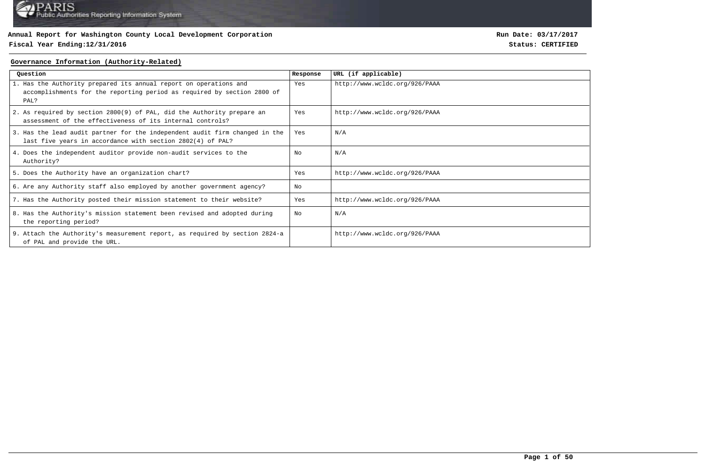## **Fiscal Year Ending:12/31/2016 Status: CERTIFIED**

**Run Date: 03/17/2017**

### **Governance Information (Authority-Related)**

| Ouestion                                                                                                                                             | Response | URL (if applicable)           |
|------------------------------------------------------------------------------------------------------------------------------------------------------|----------|-------------------------------|
| 1. Has the Authority prepared its annual report on operations and<br>accomplishments for the reporting period as required by section 2800 of<br>PAL? | Yes      | http://www.wcldc.org/926/PAAA |
| 2. As required by section 2800(9) of PAL, did the Authority prepare an<br>assessment of the effectiveness of its internal controls?                  | Yes      | http://www.wcldc.org/926/PAAA |
| 3. Has the lead audit partner for the independent audit firm changed in the<br>last five years in accordance with section 2802(4) of PAL?            | Yes      | N/A                           |
| 4. Does the independent auditor provide non-audit services to the<br>Authority?                                                                      | No       | N/A                           |
| 5. Does the Authority have an organization chart?                                                                                                    | Yes      | http://www.wcldc.org/926/PAAA |
| 6. Are any Authority staff also employed by another government agency?                                                                               | No       |                               |
| 7. Has the Authority posted their mission statement to their website?                                                                                | Yes      | http://www.wcldc.org/926/PAAA |
| 8. Has the Authority's mission statement been revised and adopted during<br>the reporting period?                                                    | No       | N/A                           |
| 9. Attach the Authority's measurement report, as required by section 2824-a<br>of PAL and provide the URL.                                           |          | http://www.wcldc.org/926/PAAA |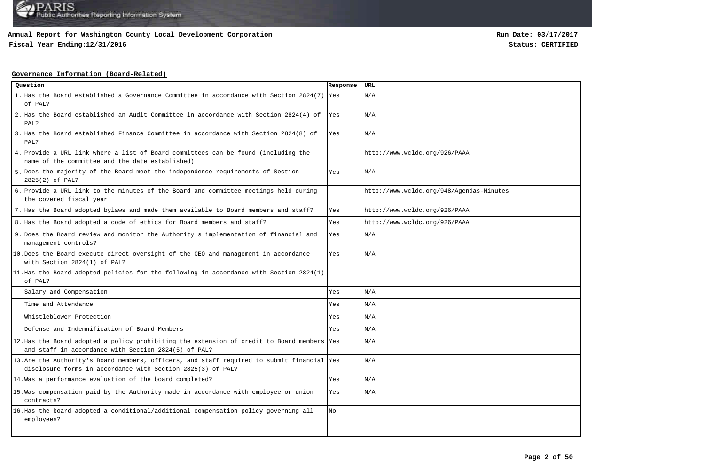**Fiscal Year Ending:12/31/2016 Status: CERTIFIED**

## **Governance Information (Board-Related)**

| Question                                                                                                                                                   | Response   | <b>URL</b>                               |
|------------------------------------------------------------------------------------------------------------------------------------------------------------|------------|------------------------------------------|
| 1. Has the Board established a Governance Committee in accordance with Section 2824(7)<br>of PAL?                                                          | <b>Yes</b> | N/A                                      |
| 2. Has the Board established an Audit Committee in accordance with Section 2824(4) of<br>PAL?                                                              | Yes        | N/A                                      |
| 3. Has the Board established Finance Committee in accordance with Section 2824(8) of<br>PAL?                                                               | Yes        | N/A                                      |
| 4. Provide a URL link where a list of Board committees can be found (including the<br>name of the committee and the date established):                     |            | http://www.wcldc.org/926/PAAA            |
| 5. Does the majority of the Board meet the independence requirements of Section<br>2825(2) of PAL?                                                         | Yes        | N/A                                      |
| 6. Provide a URL link to the minutes of the Board and committee meetings held during<br>the covered fiscal year                                            |            | http://www.wcldc.org/948/Agendas-Minutes |
| 7. Has the Board adopted bylaws and made them available to Board members and staff?                                                                        | Yes        | http://www.wcldc.org/926/PAAA            |
| 8. Has the Board adopted a code of ethics for Board members and staff?                                                                                     | Yes        | http://www.wcldc.org/926/PAAA            |
| 9. Does the Board review and monitor the Authority's implementation of financial and<br>management controls?                                               | Yes        | N/A                                      |
| 10. Does the Board execute direct oversight of the CEO and management in accordance<br>with Section 2824(1) of PAL?                                        | Yes        | N/A                                      |
| 11. Has the Board adopted policies for the following in accordance with Section 2824(1)<br>of PAL?                                                         |            |                                          |
| Salary and Compensation                                                                                                                                    | Yes        | N/A                                      |
| Time and Attendance                                                                                                                                        | Yes        | N/A                                      |
| Whistleblower Protection                                                                                                                                   | Yes        | N/A                                      |
| Defense and Indemnification of Board Members                                                                                                               | Yes        | N/A                                      |
| 12. Has the Board adopted a policy prohibiting the extension of credit to Board members Yes<br>and staff in accordance with Section 2824(5) of PAL?        |            | N/A                                      |
| 13. Are the Authority's Board members, officers, and staff required to submit financial Yes<br>disclosure forms in accordance with Section 2825(3) of PAL? |            | N/A                                      |
| 14. Was a performance evaluation of the board completed?                                                                                                   | Yes        | N/A                                      |
| 15. Was compensation paid by the Authority made in accordance with employee or union<br>contracts?                                                         | Yes        | N/A                                      |
| 16. Has the board adopted a conditional/additional compensation policy governing all<br>employees?                                                         | No         |                                          |
|                                                                                                                                                            |            |                                          |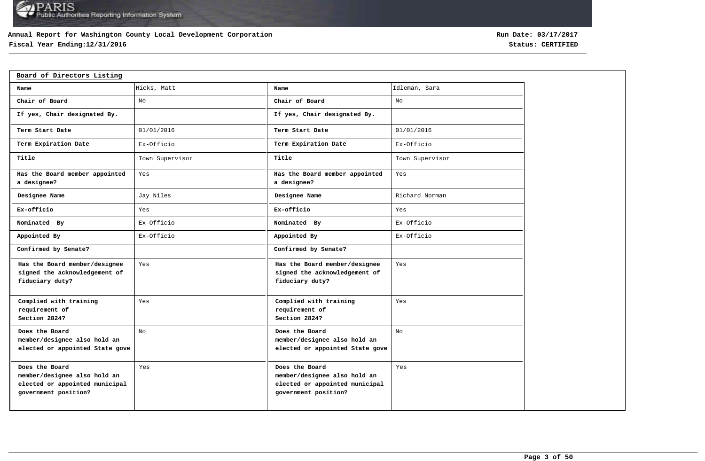## **Annual Report for Washington County Local Development Corporation**

# **Fiscal Year Ending:12/31/2016 Status: CERTIFIED**

| Board of Directors Listing                                                                               |                 |                                                                                                          |                 |
|----------------------------------------------------------------------------------------------------------|-----------------|----------------------------------------------------------------------------------------------------------|-----------------|
| Name                                                                                                     | Hicks, Matt     | Name                                                                                                     | Idleman, Sara   |
| Chair of Board                                                                                           | No              | Chair of Board                                                                                           | No              |
| If yes, Chair designated By.                                                                             |                 | If yes, Chair designated By.                                                                             |                 |
| Term Start Date                                                                                          | 01/01/2016      | Term Start Date                                                                                          | 01/01/2016      |
| Term Expiration Date                                                                                     | Ex-Officio      | Term Expiration Date                                                                                     | Ex-Officio      |
| Title                                                                                                    | Town Supervisor | Title                                                                                                    | Town Supervisor |
| Has the Board member appointed<br>a designee?                                                            | Yes             | Has the Board member appointed<br>a designee?                                                            | Yes             |
| Designee Name                                                                                            | Jay Niles       | Designee Name                                                                                            | Richard Norman  |
| Ex-officio                                                                                               | Yes             | Ex-officio                                                                                               | Yes             |
| Nominated By                                                                                             | Ex-Officio      | Nominated By                                                                                             | Ex-Officio      |
| Appointed By                                                                                             | Ex-Officio      | Appointed By                                                                                             | Ex-Officio      |
| Confirmed by Senate?                                                                                     |                 | Confirmed by Senate?                                                                                     |                 |
| Has the Board member/designee<br>signed the acknowledgement of<br>fiduciary duty?                        | Yes             | Has the Board member/designee<br>signed the acknowledgement of<br>fiduciary duty?                        | Yes             |
| Complied with training<br>requirement of<br>Section 2824?                                                | Yes             | Complied with training<br>requirement of<br>Section 2824?                                                | Yes             |
| Does the Board<br>member/designee also hold an<br>elected or appointed State gove                        | No              | Does the Board<br>member/designee also hold an<br>elected or appointed State gove                        | No              |
| Does the Board<br>member/designee also hold an<br>elected or appointed municipal<br>government position? | Yes             | Does the Board<br>member/designee also hold an<br>elected or appointed municipal<br>government position? | Yes             |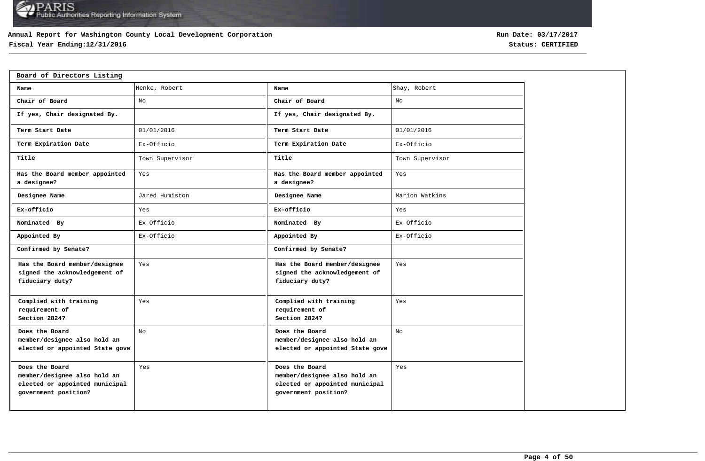## **Annual Report for Washington County Local Development Corporation**

# **Fiscal Year Ending:12/31/2016 Status: CERTIFIED**

| Board of Directors Listing                                                                               |                 |                                                                                                          |                 |
|----------------------------------------------------------------------------------------------------------|-----------------|----------------------------------------------------------------------------------------------------------|-----------------|
| Name                                                                                                     | Henke, Robert   | Name                                                                                                     | Shay, Robert    |
| Chair of Board                                                                                           | No              | Chair of Board                                                                                           | No              |
| If yes, Chair designated By.                                                                             |                 | If yes, Chair designated By.                                                                             |                 |
| Term Start Date                                                                                          | 01/01/2016      | Term Start Date                                                                                          | 01/01/2016      |
| Term Expiration Date                                                                                     | Ex-Officio      | Term Expiration Date                                                                                     | Ex-Officio      |
| Title                                                                                                    | Town Supervisor | Title                                                                                                    | Town Supervisor |
| Has the Board member appointed<br>a designee?                                                            | Yes             | Has the Board member appointed<br>a designee?                                                            | Yes             |
| Designee Name                                                                                            | Jared Humiston  | Designee Name                                                                                            | Marion Watkins  |
| Ex-officio                                                                                               | Yes             | Ex-officio                                                                                               | Yes             |
| Nominated By                                                                                             | Ex-Officio      | Nominated By                                                                                             | Ex-Officio      |
| Appointed By                                                                                             | Ex-Officio      | Appointed By                                                                                             | Ex-Officio      |
| Confirmed by Senate?                                                                                     |                 | Confirmed by Senate?                                                                                     |                 |
| Has the Board member/designee<br>signed the acknowledgement of<br>fiduciary duty?                        | Yes             | Has the Board member/designee<br>signed the acknowledgement of<br>fiduciary duty?                        | Yes             |
| Complied with training<br>requirement of<br>Section 2824?                                                | Yes             | Complied with training<br>requirement of<br>Section 2824?                                                | Yes             |
| Does the Board<br>member/designee also hold an<br>elected or appointed State gove                        | No              | Does the Board<br>member/designee also hold an<br>elected or appointed State gove                        | No              |
| Does the Board<br>member/designee also hold an<br>elected or appointed municipal<br>government position? | Yes             | Does the Board<br>member/designee also hold an<br>elected or appointed municipal<br>government position? | Yes             |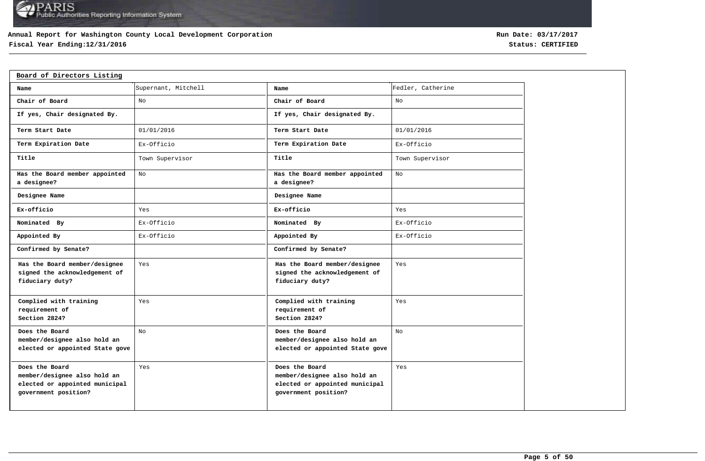## **Annual Report for Washington County Local Development Corporation**

# **Fiscal Year Ending:12/31/2016 Status: CERTIFIED**

| Board of Directors Listing                                                                               |                     |                                                                                                          |                   |
|----------------------------------------------------------------------------------------------------------|---------------------|----------------------------------------------------------------------------------------------------------|-------------------|
| Name                                                                                                     | Supernant, Mitchell | Name                                                                                                     | Fedler, Catherine |
| Chair of Board                                                                                           | No                  | Chair of Board                                                                                           | No                |
| If yes, Chair designated By.                                                                             |                     | If yes, Chair designated By.                                                                             |                   |
| Term Start Date                                                                                          | 01/01/2016          | Term Start Date                                                                                          | 01/01/2016        |
| Term Expiration Date                                                                                     | Ex-Officio          | Term Expiration Date                                                                                     | Ex-Officio        |
| Title                                                                                                    | Town Supervisor     | Title                                                                                                    | Town Supervisor   |
| Has the Board member appointed<br>a designee?                                                            | No                  | Has the Board member appointed<br>a designee?                                                            | No                |
| Designee Name                                                                                            |                     | Designee Name                                                                                            |                   |
| Ex-officio                                                                                               | Yes                 | Ex-officio                                                                                               | Yes               |
| Nominated By                                                                                             | Ex-Officio          | Nominated By                                                                                             | Ex-Officio        |
| Appointed By                                                                                             | Ex-Officio          | Appointed By                                                                                             | Ex-Officio        |
| Confirmed by Senate?                                                                                     |                     | Confirmed by Senate?                                                                                     |                   |
| Has the Board member/designee<br>signed the acknowledgement of<br>fiduciary duty?                        | Yes                 | Has the Board member/designee<br>signed the acknowledgement of<br>fiduciary duty?                        | Yes               |
| Complied with training<br>requirement of<br>Section 2824?                                                | Yes                 | Complied with training<br>requirement of<br>Section 2824?                                                | Yes               |
| Does the Board<br>member/designee also hold an<br>elected or appointed State gove                        | No                  | Does the Board<br>member/designee also hold an<br>elected or appointed State gove                        | No                |
| Does the Board<br>member/designee also hold an<br>elected or appointed municipal<br>government position? | Yes                 | Does the Board<br>member/designee also hold an<br>elected or appointed municipal<br>government position? | Yes               |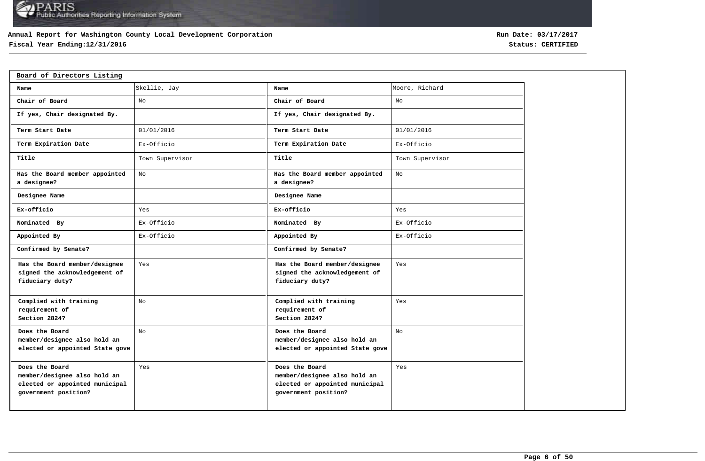## **Annual Report for Washington County Local Development Corporation**

# **Fiscal Year Ending:12/31/2016 Status: CERTIFIED**

| Board of Directors Listing                                                                               |                 |                                                                                                          |                 |
|----------------------------------------------------------------------------------------------------------|-----------------|----------------------------------------------------------------------------------------------------------|-----------------|
| Name                                                                                                     | Skellie, Jay    | Name                                                                                                     | Moore, Richard  |
| Chair of Board                                                                                           | No              | Chair of Board                                                                                           | No              |
| If yes, Chair designated By.                                                                             |                 | If yes, Chair designated By.                                                                             |                 |
| Term Start Date                                                                                          | 01/01/2016      | Term Start Date                                                                                          | 01/01/2016      |
| Term Expiration Date                                                                                     | Ex-Officio      | Term Expiration Date                                                                                     | Ex-Officio      |
| Title                                                                                                    | Town Supervisor | Title                                                                                                    | Town Supervisor |
| Has the Board member appointed<br>a designee?                                                            | No              | Has the Board member appointed<br>a designee?                                                            | No              |
| Designee Name                                                                                            |                 | Designee Name                                                                                            |                 |
| Ex-officio                                                                                               | Yes             | Ex-officio                                                                                               | Yes             |
| Nominated By                                                                                             | Ex-Officio      | Nominated By                                                                                             | Ex-Officio      |
| Appointed By                                                                                             | Ex-Officio      | Appointed By                                                                                             | Ex-Officio      |
| Confirmed by Senate?                                                                                     |                 | Confirmed by Senate?                                                                                     |                 |
| Has the Board member/designee<br>signed the acknowledgement of<br>fiduciary duty?                        | Yes             | Has the Board member/designee<br>signed the acknowledgement of<br>fiduciary duty?                        | Yes             |
| Complied with training<br>requirement of<br>Section 2824?                                                | No              | Complied with training<br>requirement of<br>Section 2824?                                                | Yes             |
| Does the Board<br>member/designee also hold an<br>elected or appointed State gove                        | No              | Does the Board<br>member/designee also hold an<br>elected or appointed State gove                        | No              |
| Does the Board<br>member/designee also hold an<br>elected or appointed municipal<br>government position? | Yes             | Does the Board<br>member/designee also hold an<br>elected or appointed municipal<br>government position? | Yes             |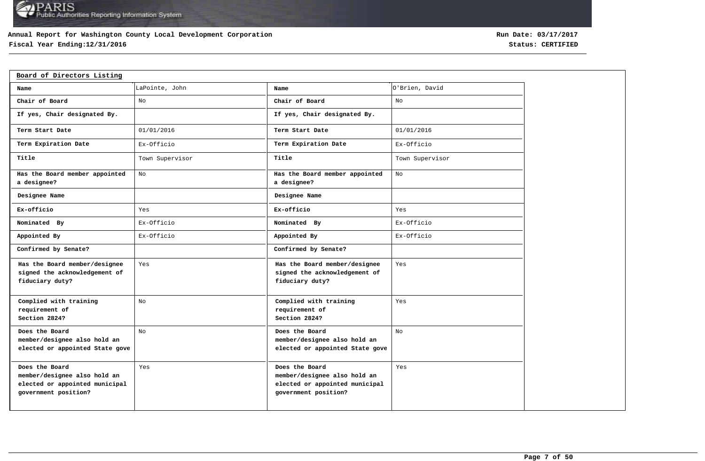## **Annual Report for Washington County Local Development Corporation**

# **Fiscal Year Ending:12/31/2016 Status: CERTIFIED**

| Board of Directors Listing                                                                               |                 |                                                                                                          |                 |
|----------------------------------------------------------------------------------------------------------|-----------------|----------------------------------------------------------------------------------------------------------|-----------------|
| Name                                                                                                     | LaPointe, John  | Name                                                                                                     | O'Brien, David  |
| Chair of Board                                                                                           | No              | Chair of Board                                                                                           | No              |
| If yes, Chair designated By.                                                                             |                 | If yes, Chair designated By.                                                                             |                 |
| Term Start Date                                                                                          | 01/01/2016      | Term Start Date                                                                                          | 01/01/2016      |
| Term Expiration Date                                                                                     | Ex-Officio      | Term Expiration Date                                                                                     | Ex-Officio      |
| Title                                                                                                    | Town Supervisor | Title                                                                                                    | Town Supervisor |
| Has the Board member appointed<br>a designee?                                                            | No              | Has the Board member appointed<br>a designee?                                                            | No              |
| Designee Name                                                                                            |                 | Designee Name                                                                                            |                 |
| Ex-officio                                                                                               | Yes             | Ex-officio                                                                                               | Yes             |
| Nominated By                                                                                             | Ex-Officio      | Nominated By                                                                                             | Ex-Officio      |
| Appointed By                                                                                             | Ex-Officio      | Appointed By                                                                                             | Ex-Officio      |
| Confirmed by Senate?                                                                                     |                 | Confirmed by Senate?                                                                                     |                 |
| Has the Board member/designee<br>signed the acknowledgement of<br>fiduciary duty?                        | Yes             | Has the Board member/designee<br>signed the acknowledgement of<br>fiduciary duty?                        | Yes             |
| Complied with training<br>requirement of<br>Section 2824?                                                | No              | Complied with training<br>requirement of<br>Section 2824?                                                | Yes             |
| Does the Board<br>member/designee also hold an<br>elected or appointed State gove                        | No              | Does the Board<br>member/designee also hold an<br>elected or appointed State gove                        | No              |
| Does the Board<br>member/designee also hold an<br>elected or appointed municipal<br>government position? | Yes             | Does the Board<br>member/designee also hold an<br>elected or appointed municipal<br>government position? | Yes             |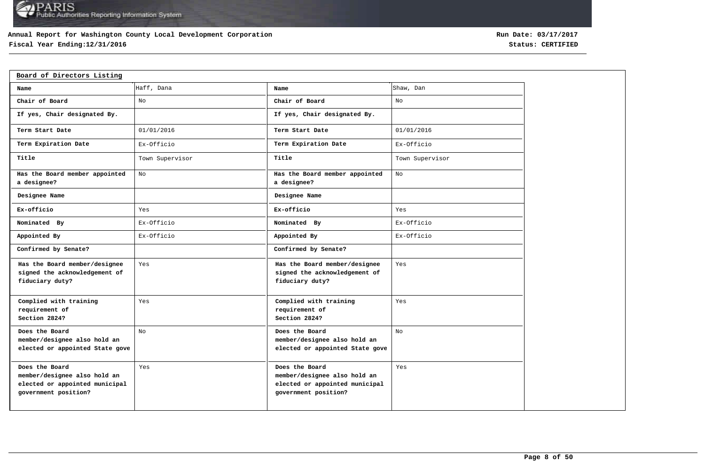## **Annual Report for Washington County Local Development Corporation**

# **Fiscal Year Ending:12/31/2016 Status: CERTIFIED**

| Board of Directors Listing                                                                               |                 |                                                                                                          |                 |
|----------------------------------------------------------------------------------------------------------|-----------------|----------------------------------------------------------------------------------------------------------|-----------------|
| Name                                                                                                     | Haff, Dana      | Name                                                                                                     | Shaw, Dan       |
| Chair of Board                                                                                           | No              | Chair of Board                                                                                           | No              |
| If yes, Chair designated By.                                                                             |                 | If yes, Chair designated By.                                                                             |                 |
| Term Start Date                                                                                          | 01/01/2016      | Term Start Date                                                                                          | 01/01/2016      |
| Term Expiration Date                                                                                     | Ex-Officio      | Term Expiration Date                                                                                     | Ex-Officio      |
| Title                                                                                                    | Town Supervisor | Title                                                                                                    | Town Supervisor |
| Has the Board member appointed<br>a designee?                                                            | No              | Has the Board member appointed<br>a designee?                                                            | No              |
| Designee Name                                                                                            |                 | Designee Name                                                                                            |                 |
| Ex-officio                                                                                               | Yes             | Ex-officio                                                                                               | Yes             |
| Nominated By                                                                                             | Ex-Officio      | Nominated By                                                                                             | Ex-Officio      |
| Appointed By                                                                                             | Ex-Officio      | Appointed By                                                                                             | Ex-Officio      |
| Confirmed by Senate?                                                                                     |                 | Confirmed by Senate?                                                                                     |                 |
| Has the Board member/designee<br>signed the acknowledgement of<br>fiduciary duty?                        | Yes             | Has the Board member/designee<br>signed the acknowledgement of<br>fiduciary duty?                        | Yes             |
| Complied with training<br>requirement of<br>Section 2824?                                                | Yes             | Complied with training<br>requirement of<br>Section 2824?                                                | Yes             |
| Does the Board<br>member/designee also hold an<br>elected or appointed State gove                        | No              | Does the Board<br>member/designee also hold an<br>elected or appointed State gove                        | No              |
| Does the Board<br>member/designee also hold an<br>elected or appointed municipal<br>government position? | Yes             | Does the Board<br>member/designee also hold an<br>elected or appointed municipal<br>government position? | Yes             |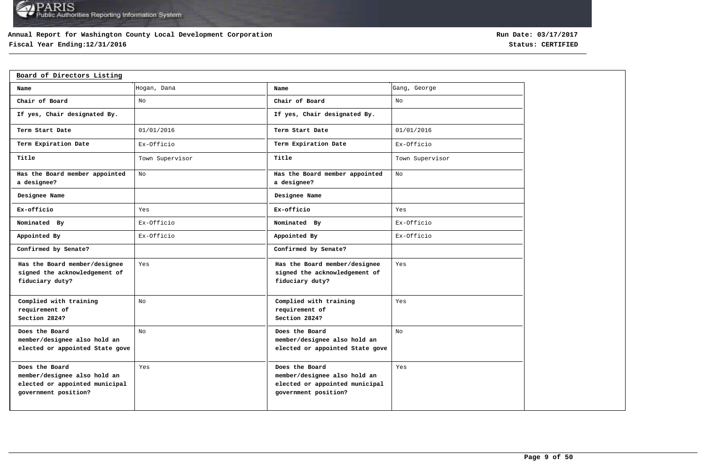## **Annual Report for Washington County Local Development Corporation**

# **Fiscal Year Ending:12/31/2016 Status: CERTIFIED**

| Board of Directors Listing                                                                               |                 |                                                                                                          |                 |
|----------------------------------------------------------------------------------------------------------|-----------------|----------------------------------------------------------------------------------------------------------|-----------------|
| Name                                                                                                     | Hogan, Dana     | Name                                                                                                     | Gang, George    |
| Chair of Board                                                                                           | No              | Chair of Board                                                                                           | No              |
| If yes, Chair designated By.                                                                             |                 | If yes, Chair designated By.                                                                             |                 |
| Term Start Date                                                                                          | 01/01/2016      | Term Start Date                                                                                          | 01/01/2016      |
| Term Expiration Date                                                                                     | Ex-Officio      | Term Expiration Date                                                                                     | Ex-Officio      |
| Title                                                                                                    | Town Supervisor | Title                                                                                                    | Town Supervisor |
| Has the Board member appointed<br>a designee?                                                            | No              | Has the Board member appointed<br>a designee?                                                            | No              |
| Designee Name                                                                                            |                 | Designee Name                                                                                            |                 |
| Ex-officio                                                                                               | Yes             | Ex-officio                                                                                               | Yes             |
| Nominated By                                                                                             | Ex-Officio      | Nominated By                                                                                             | Ex-Officio      |
| Appointed By                                                                                             | Ex-Officio      | Appointed By                                                                                             | Ex-Officio      |
| Confirmed by Senate?                                                                                     |                 | Confirmed by Senate?                                                                                     |                 |
| Has the Board member/designee<br>signed the acknowledgement of<br>fiduciary duty?                        | Yes             | Has the Board member/designee<br>signed the acknowledgement of<br>fiduciary duty?                        | Yes             |
| Complied with training<br>requirement of<br>Section 2824?                                                | No              | Complied with training<br>requirement of<br>Section 2824?                                                | Yes             |
| Does the Board<br>member/designee also hold an<br>elected or appointed State gove                        | No              | Does the Board<br>member/designee also hold an<br>elected or appointed State gove                        | No              |
| Does the Board<br>member/designee also hold an<br>elected or appointed municipal<br>government position? | Yes             | Does the Board<br>member/designee also hold an<br>elected or appointed municipal<br>government position? | Yes             |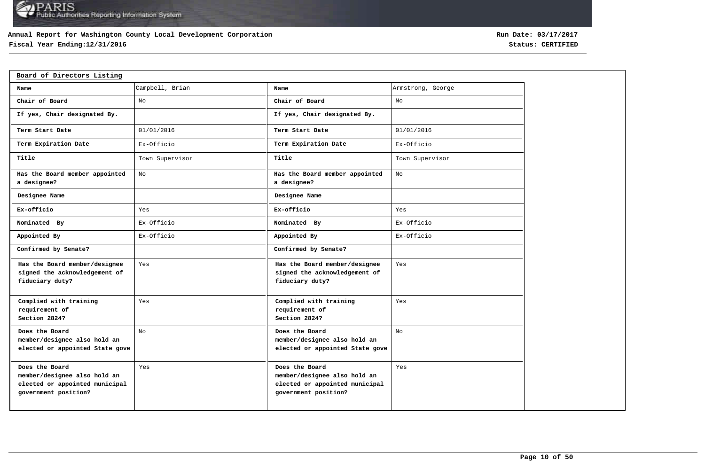## **Annual Report for Washington County Local Development Corporation**

# **Fiscal Year Ending:12/31/2016 Status: CERTIFIED**

| Board of Directors Listing                                                                               |                 |                                                                                                          |                   |
|----------------------------------------------------------------------------------------------------------|-----------------|----------------------------------------------------------------------------------------------------------|-------------------|
| Name                                                                                                     | Campbell, Brian | Name                                                                                                     | Armstrong, George |
| Chair of Board                                                                                           | No              | Chair of Board                                                                                           | No                |
| If yes, Chair designated By.                                                                             |                 | If yes, Chair designated By.                                                                             |                   |
| Term Start Date                                                                                          | 01/01/2016      | Term Start Date                                                                                          | 01/01/2016        |
| Term Expiration Date                                                                                     | Ex-Officio      | Term Expiration Date                                                                                     | Ex-Officio        |
| Title                                                                                                    | Town Supervisor | Title                                                                                                    | Town Supervisor   |
| Has the Board member appointed<br>a designee?                                                            | No              | Has the Board member appointed<br>a designee?                                                            | No                |
| Designee Name                                                                                            |                 | Designee Name                                                                                            |                   |
| Ex-officio                                                                                               | Yes             | Ex-officio                                                                                               | Yes               |
| Nominated By                                                                                             | Ex-Officio      | Nominated By                                                                                             | Ex-Officio        |
| Appointed By                                                                                             | Ex-Officio      | Appointed By                                                                                             | Ex-Officio        |
| Confirmed by Senate?                                                                                     |                 | Confirmed by Senate?                                                                                     |                   |
| Has the Board member/designee<br>signed the acknowledgement of<br>fiduciary duty?                        | Yes             | Has the Board member/designee<br>signed the acknowledgement of<br>fiduciary duty?                        | Yes               |
| Complied with training<br>requirement of<br>Section 2824?                                                | Yes             | Complied with training<br>requirement of<br>Section 2824?                                                | Yes               |
| Does the Board<br>member/designee also hold an<br>elected or appointed State gove                        | No              | Does the Board<br>member/designee also hold an<br>elected or appointed State gove                        | No                |
| Does the Board<br>member/designee also hold an<br>elected or appointed municipal<br>government position? | Yes             | Does the Board<br>member/designee also hold an<br>elected or appointed municipal<br>government position? | Yes               |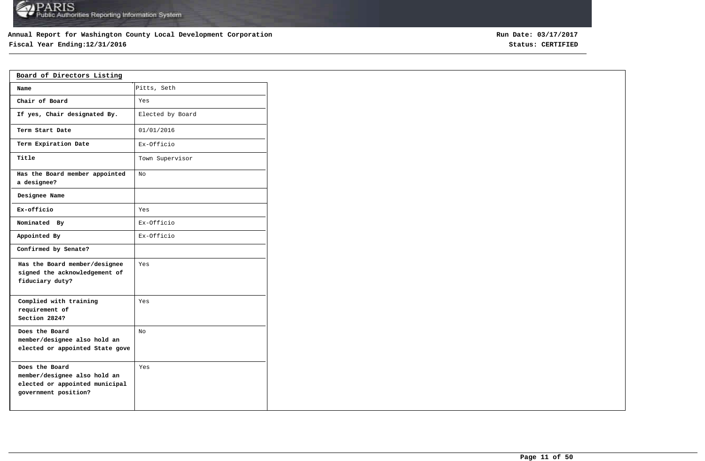## **Annual Report for Washington County Local Development Corporation**

# **Fiscal Year Ending:12/31/2016 Status: CERTIFIED**

| Board of Directors Listing                                                                               |                  |
|----------------------------------------------------------------------------------------------------------|------------------|
| Name                                                                                                     | Pitts, Seth      |
| Chair of Board                                                                                           | Yes              |
| If yes, Chair designated By.                                                                             | Elected by Board |
| Term Start Date                                                                                          | 01/01/2016       |
| Term Expiration Date                                                                                     | Ex-Officio       |
| Title                                                                                                    | Town Supervisor  |
| Has the Board member appointed<br>a designee?                                                            | No               |
| Designee Name                                                                                            |                  |
| Ex-officio                                                                                               | Yes              |
| Nominated By                                                                                             | Ex-Officio       |
| Appointed By                                                                                             | Ex-Officio       |
| Confirmed by Senate?                                                                                     |                  |
| Has the Board member/designee<br>signed the acknowledgement of<br>fiduciary duty?                        | Yes              |
| Complied with training<br>requirement of<br>Section 2824?                                                | Yes              |
| Does the Board<br>member/designee also hold an<br>elected or appointed State gove                        | No               |
| Does the Board<br>member/designee also hold an<br>elected or appointed municipal<br>government position? | Yes              |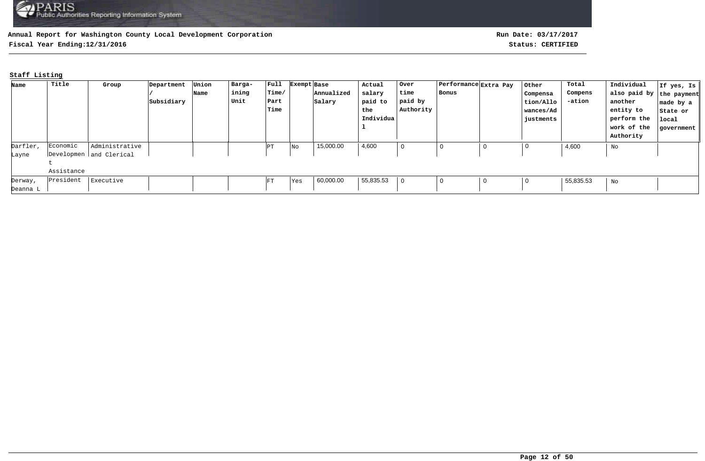**Fiscal Year Ending:12/31/2016 Status: CERTIFIED**

# **Staff Listing**

| Name     | Title      | Group                   | Department | Union | Barga- | $ $ Full | Exempt Base |            | Actual    | Over      | Performance Extra Pay | Other       | Total     | Individual               | If yes, Is |
|----------|------------|-------------------------|------------|-------|--------|----------|-------------|------------|-----------|-----------|-----------------------|-------------|-----------|--------------------------|------------|
|          |            |                         |            | Name  | ining  | Time/    |             | Annualized | salary    | time      | Bonus                 | Compensa    | Compens   | also paid by the payment |            |
|          |            |                         | Subsidiary |       | Unit   | Part     |             | Salary     | paid to   | paid by   |                       | tion/Allo   | -ation    | another                  | made by a  |
|          |            |                         |            |       |        | Time     |             |            | the       | Authority |                       | wances/Ad   |           | entity to                | State or   |
|          |            |                         |            |       |        |          |             |            | Individua |           |                       | justments   |           | perform the              | local      |
|          |            |                         |            |       |        |          |             |            |           |           |                       |             |           | work of the              | government |
|          |            |                         |            |       |        |          |             |            |           |           |                       |             |           | Authority                |            |
| Darfler, | Economic   | Administrative          |            |       |        | PΤ       | No          | 15,000.00  | 4,600     | 0         |                       | 0           | 4,600     | No                       |            |
| Layne    |            | Developmen and Clerical |            |       |        |          |             |            |           |           |                       |             |           |                          |            |
|          |            |                         |            |       |        |          |             |            |           |           |                       |             |           |                          |            |
|          | Assistance |                         |            |       |        |          |             |            |           |           |                       |             |           |                          |            |
| Derway,  | President  | Executive               |            |       |        | FT       | Yes         | 60,000.00  | 55,835.53 |           | $\Omega$              | $\mathbf 0$ | 55,835.53 | No                       |            |
| Deanna L |            |                         |            |       |        |          |             |            |           |           |                       |             |           |                          |            |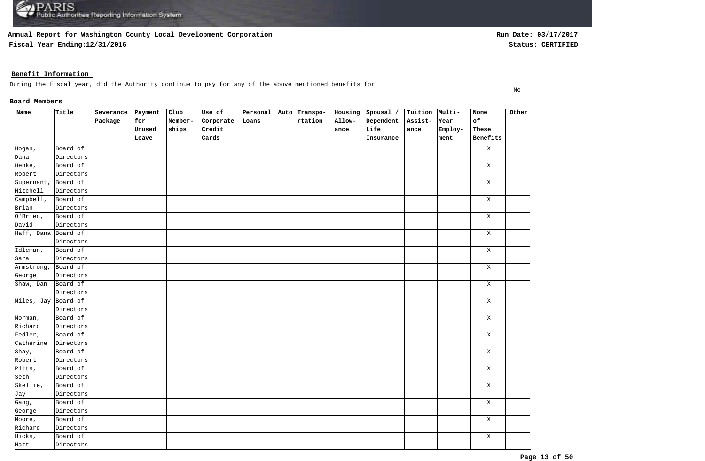**Fiscal Year Ending:12/31/2016 Status: CERTIFIED**

No

## **Benefit Information**

During the fiscal year, did the Authority continue to pay for any of the above mentioned benefits for

## **Board Members**

| Name                       | Title     | Severance | Payment | Club    | Use of    | Personal Auto Transpo- |         | Housing | Spousal / | Tuition Multi- |         | None         | Other |
|----------------------------|-----------|-----------|---------|---------|-----------|------------------------|---------|---------|-----------|----------------|---------|--------------|-------|
|                            |           | Package   | for     | Member- | Corporate | Loans                  | rtation | Allow-  | Dependent | Assist-        | Year    | of           |       |
|                            |           |           | Unused  | ships   | Credit    |                        |         | ance    | Life      | ance           | Employ- | These        |       |
|                            |           |           | Leave   |         | Cards     |                        |         |         | Insurance |                | ment    | Benefits     |       |
| Hogan,                     | Board of  |           |         |         |           |                        |         |         |           |                |         | $\, {\rm X}$ |       |
| Dana                       | Directors |           |         |         |           |                        |         |         |           |                |         |              |       |
| Henke,                     | Board of  |           |         |         |           |                        |         |         |           |                |         | $\mathbf X$  |       |
| Robert                     | Directors |           |         |         |           |                        |         |         |           |                |         |              |       |
| Supernant,                 | Board of  |           |         |         |           |                        |         |         |           |                |         | $\mathbf X$  |       |
| Mitchell                   | Directors |           |         |         |           |                        |         |         |           |                |         |              |       |
| Campbell,                  | Board of  |           |         |         |           |                        |         |         |           |                |         | $\mathbf X$  |       |
| Brian                      | Directors |           |         |         |           |                        |         |         |           |                |         |              |       |
| 0'Brien,                   | Board of  |           |         |         |           |                        |         |         |           |                |         | $\mathbf X$  |       |
| David                      | Directors |           |         |         |           |                        |         |         |           |                |         |              |       |
| Haff, Dana Board of        |           |           |         |         |           |                        |         |         |           |                |         | Χ            |       |
|                            | Directors |           |         |         |           |                        |         |         |           |                |         |              |       |
| Idleman,                   | Board of  |           |         |         |           |                        |         |         |           |                |         | Χ            |       |
| Sara                       | Directors |           |         |         |           |                        |         |         |           |                |         |              |       |
| Armstrong,                 | Board of  |           |         |         |           |                        |         |         |           |                |         | X            |       |
| George                     | Directors |           |         |         |           |                        |         |         |           |                |         |              |       |
| Shaw, Dan                  | Board of  |           |         |         |           |                        |         |         |           |                |         | Χ            |       |
|                            | Directors |           |         |         |           |                        |         |         |           |                |         |              |       |
| Niles, Jay Board of        |           |           |         |         |           |                        |         |         |           |                |         | $\mathbf X$  |       |
|                            | Directors |           |         |         |           |                        |         |         |           |                |         |              |       |
| Norman,                    | Board of  |           |         |         |           |                        |         |         |           |                |         | $\mathbf X$  |       |
| Richard                    | Directors |           |         |         |           |                        |         |         |           |                |         |              |       |
| Fedler,                    | Board of  |           |         |         |           |                        |         |         |           |                |         | $\mathbf X$  |       |
| Catherine                  | Directors |           |         |         |           |                        |         |         |           |                |         |              |       |
| $\overline{\text{Shay}}$ , | Board of  |           |         |         |           |                        |         |         |           |                |         | $\mathbf X$  |       |
| Robert                     | Directors |           |         |         |           |                        |         |         |           |                |         |              |       |
| Pitts,                     | Board of  |           |         |         |           |                        |         |         |           |                |         | $\mathbf X$  |       |
| Seth                       | Directors |           |         |         |           |                        |         |         |           |                |         |              |       |
| Skellie,                   | Board of  |           |         |         |           |                        |         |         |           |                |         | $\mathbf X$  |       |
| Jay                        | Directors |           |         |         |           |                        |         |         |           |                |         |              |       |
| Gang,                      | Board of  |           |         |         |           |                        |         |         |           |                |         | $\mathbf X$  |       |
| George                     | Directors |           |         |         |           |                        |         |         |           |                |         |              |       |
| Moore,                     | Board of  |           |         |         |           |                        |         |         |           |                |         | $\mathbf X$  |       |
| Richard                    | Directors |           |         |         |           |                        |         |         |           |                |         |              |       |
| Hicks,                     | Board of  |           |         |         |           |                        |         |         |           |                |         | $\mathbf X$  |       |
| Matt                       | Directors |           |         |         |           |                        |         |         |           |                |         |              |       |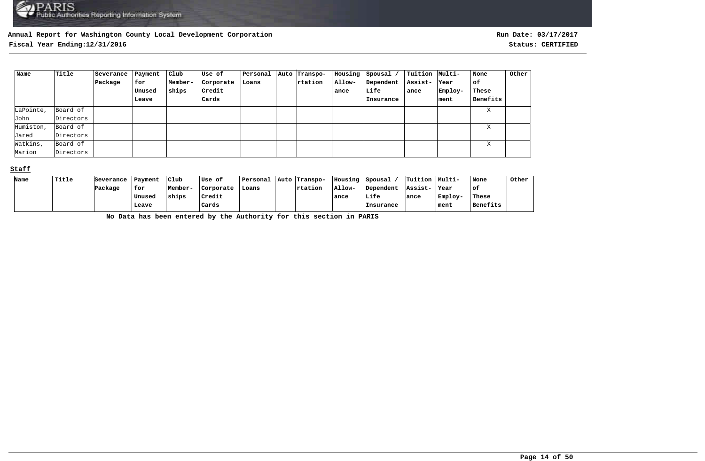**Fiscal Year Ending:12/31/2016 Status: CERTIFIED**

| Name      | Title     | Severance | Payment | Club    | Use of    | Personal | Auto Transpo- | Housing | Spousal / | Tuition   Multi- |         | None     | Other |
|-----------|-----------|-----------|---------|---------|-----------|----------|---------------|---------|-----------|------------------|---------|----------|-------|
|           |           | Package   | for     | Member- | Corporate | Loans    | rtation       | Allow-  | Dependent | Assist-          | Year    | of       |       |
|           |           |           | Unused  | ships   | Credit    |          |               | ance    | Life      | ance             | Employ- | These    |       |
|           |           |           | Leave   |         | Cards     |          |               |         | Insurance |                  | ment    | Benefits |       |
| LaPointe, | Board of  |           |         |         |           |          |               |         |           |                  |         | X        |       |
| John      | Directors |           |         |         |           |          |               |         |           |                  |         |          |       |
| Humiston, | Board of  |           |         |         |           |          |               |         |           |                  |         | Χ        |       |
| Jared     | Directors |           |         |         |           |          |               |         |           |                  |         |          |       |
| Watkins,  | Board of  |           |         |         |           |          |               |         |           |                  |         | X        |       |
| Marion    | Directors |           |         |         |           |          |               |         |           |                  |         |          |       |

## **Staff**

| Name | Title | Severance | Payment | Club    | lUse of   | Personal | Auto Transpo-   | Housing | Spousal   | Tuition | Multi-  | None     | Other |
|------|-------|-----------|---------|---------|-----------|----------|-----------------|---------|-----------|---------|---------|----------|-------|
|      |       | Package   | for     | Member- | Corporate | Loans    | <b>Trtation</b> | Allow-  | Dependent | Assist- | Year    | ∣of      |       |
|      |       |           | Unused  | ships   | Credit    |          |                 | ance    | Life      | ance    | Employ- | These    |       |
|      |       |           | Leave   |         | Cards     |          |                 |         | Insurance |         | ment    | Benefits |       |

**No Data has been entered by the Authority for this section in PARIS**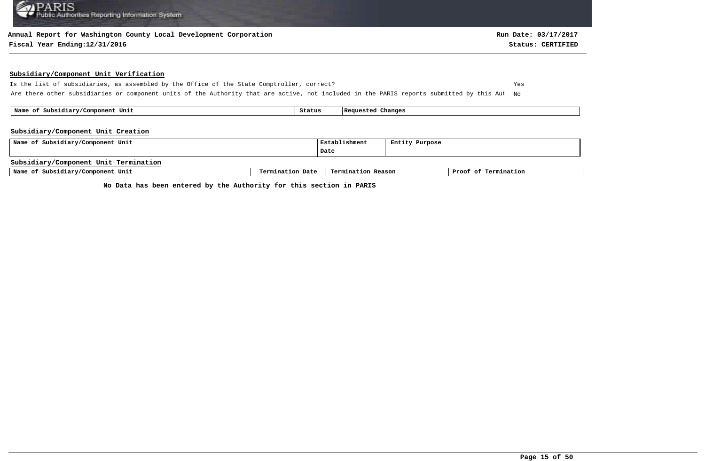#### **Annual Report for Washington County Local Development Corporation**

#### **Fiscal Year Ending:12/31/2016 Status: CERTIFIED**

#### **Subsidiary/Component Unit Verification**

Is the list of subsidiaries, as assembled by the Office of the State Comptroller, correct? Yes Are there other subsidiaries or component units of the Authority that are active, not included in the PARIS reports submitted by this Aut No

 **Name of Subsidiary/Component Unit Status Requested Changes** 

#### **Subsidiary/Component Unit Creation**

| Name of Subsidiary/Component Unit     |                  | Establishment      | Entity Purpose |                      |
|---------------------------------------|------------------|--------------------|----------------|----------------------|
|                                       |                  | Date               |                |                      |
| Subsidiary/Component Unit Termination |                  |                    |                |                      |
| Name of Subsidiary/Component Unit     | Termination Date | Termination Reason |                | Proof of Termination |

**No Data has been entered by the Authority for this section in PARIS**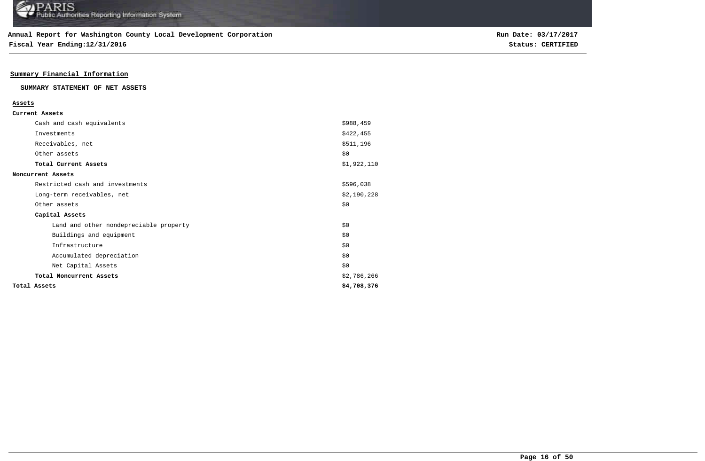**Fiscal Year Ending:12/31/2016 Status: CERTIFIED**

## **Summary Financial Information**

## **SUMMARY STATEMENT OF NET ASSETS**

| Current Assets                         |             |
|----------------------------------------|-------------|
| Cash and cash equivalents              | \$988,459   |
| Investments                            | \$422,455   |
| Receivables, net                       | \$511,196   |
| Other assets                           | \$0         |
| Total Current Assets                   | \$1,922,110 |
| Noncurrent Assets                      |             |
| Restricted cash and investments        | \$596,038   |
| Long-term receivables, net             | \$2,190,228 |
| Other assets                           | \$0         |
| Capital Assets                         |             |
| Land and other nondepreciable property | \$0         |
| Buildings and equipment                | \$0         |
| Infrastructure                         | \$0         |
| Accumulated depreciation               | \$0         |
| Net Capital Assets                     | \$0         |
| Total Noncurrent Assets                | \$2,786,266 |
| Total Assets                           | \$4,708,376 |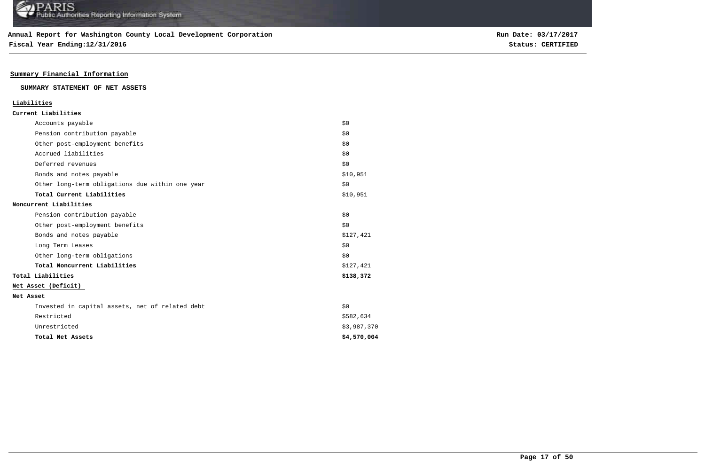**Fiscal Year Ending:12/31/2016 Status: CERTIFIED**

## **Summary Financial Information**

#### **SUMMARY STATEMENT OF NET ASSETS**

|           | Liabilities                                     |             |
|-----------|-------------------------------------------------|-------------|
|           | Current Liabilities                             |             |
|           | Accounts payable                                | \$0         |
|           | Pension contribution payable                    | \$0         |
|           | Other post-employment benefits                  | \$0         |
|           | Accrued liabilities                             | \$0         |
|           | Deferred revenues                               | \$0         |
|           | Bonds and notes payable                         | \$10,951    |
|           | Other long-term obligations due within one year | \$0         |
|           | Total Current Liabilities                       | \$10,951    |
|           | Noncurrent Liabilities                          |             |
|           | Pension contribution payable                    | \$0         |
|           | Other post-employment benefits                  | \$0         |
|           | Bonds and notes payable                         | \$127,421   |
|           | Long Term Leases                                | \$0         |
|           | Other long-term obligations                     | \$0         |
|           | Total Noncurrent Liabilities                    | \$127,421   |
|           | Total Liabilities                               | \$138,372   |
|           | Net Asset (Deficit)                             |             |
| Net Asset |                                                 |             |
|           | Invested in capital assets, net of related debt | \$0         |
|           | Restricted                                      | \$582,634   |
|           | Unrestricted                                    | \$3,987,370 |
|           | Total Net Assets                                | \$4,570,004 |
|           |                                                 |             |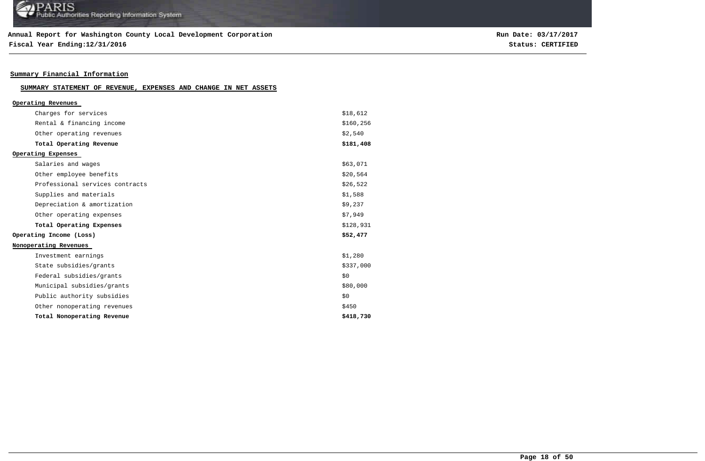## **Annual Report for Washington County Local Development Corporation**

**Fiscal Year Ending:12/31/2016 Status: CERTIFIED**

**Run Date: 03/17/2017**

# **Summary Financial Information**

| SUMMARY STATEMENT OF REVENUE, EXPENSES AND CHANGE IN NET ASSETS |  |  |  |
|-----------------------------------------------------------------|--|--|--|
|-----------------------------------------------------------------|--|--|--|

| Operating Revenues              |            |
|---------------------------------|------------|
| Charges for services            | \$18,612   |
| Rental & financing income       | \$160, 256 |
| Other operating revenues        | \$2,540    |
| Total Operating Revenue         | \$181,408  |
| Operating Expenses              |            |
| Salaries and wages              | \$63,071   |
| Other employee benefits         | \$20,564   |
| Professional services contracts | \$26,522   |
| Supplies and materials          | \$1,588    |
| Depreciation & amortization     | \$9,237    |
| Other operating expenses        | \$7,949    |
| Total Operating Expenses        | \$128,931  |
| Operating Income (Loss)         | \$52,477   |
| Nonoperating Revenues           |            |
| Investment earnings             | \$1,280    |
| State subsidies/grants          | \$337,000  |
| Federal subsidies/grants        | \$0        |
| Municipal subsidies/grants      | \$80,000   |
| Public authority subsidies      | \$0        |
| Other nonoperating revenues     | \$450      |
| Total Nonoperating Revenue      | \$418,730  |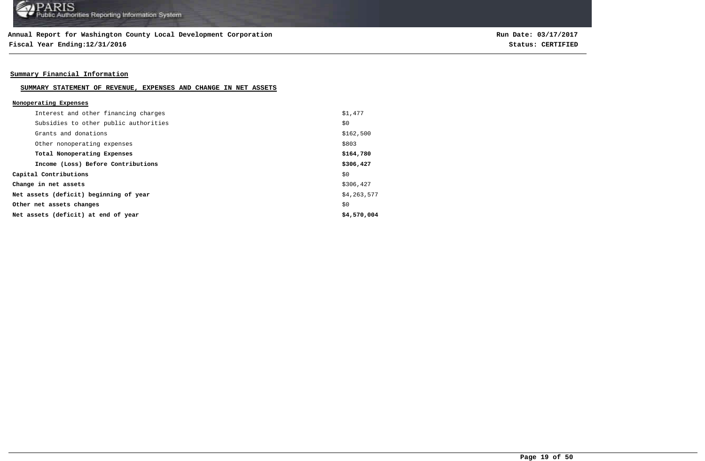**Fiscal Year Ending:12/31/2016 Status: CERTIFIED**

## **Summary Financial Information**

#### **SUMMARY STATEMENT OF REVENUE, EXPENSES AND CHANGE IN NET ASSETS**

| Nonoperating Expenses                  |             |
|----------------------------------------|-------------|
| Interest and other financing charges   | \$1,477     |
| Subsidies to other public authorities  | \$0         |
| Grants and donations                   | \$162,500   |
| Other nonoperating expenses            | \$803       |
| Total Nonoperating Expenses            | \$164,780   |
| Income (Loss) Before Contributions     | \$306,427   |
| Capital Contributions                  | \$0         |
| Change in net assets                   | \$306,427   |
| Net assets (deficit) beginning of year | \$4,263,577 |
| Other net assets changes               | \$0         |
| Net assets (deficit) at end of year    | \$4,570,004 |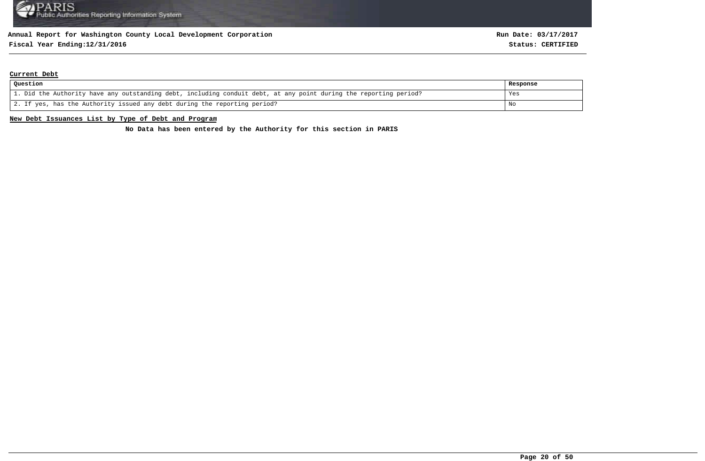# **Fiscal Year Ending:12/31/2016 Status: CERTIFIED**

#### **Current Debt**

| Question                                                                                                          | Response |
|-------------------------------------------------------------------------------------------------------------------|----------|
| 1. Did the Authority have any outstanding debt, including conduit debt, at any point during the reporting period? | Yes      |
| 2. If yes, has the Authority issued any debt during the reporting period?                                         | No       |

#### **New Debt Issuances List by Type of Debt and Program**

**No Data has been entered by the Authority for this section in PARIS**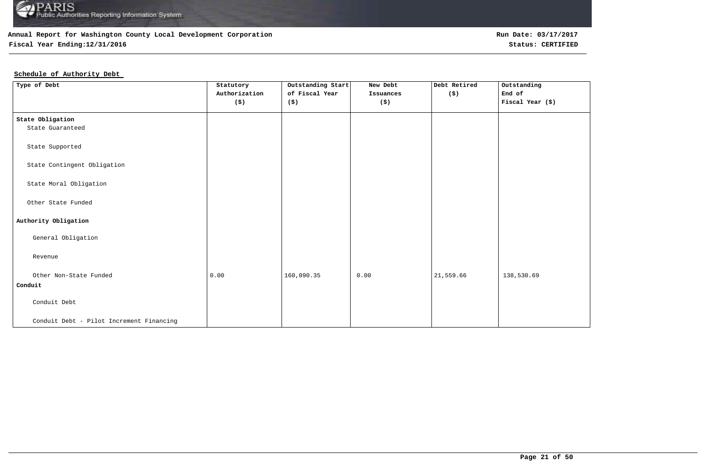

# **Fiscal Year Ending:12/31/2016 Status: CERTIFIED**

## **Schedule of Authority Debt**

| Type of Debt                             | Statutory                   | Outstanding Start | New Debt             | Debt Retired         | Outstanding      |
|------------------------------------------|-----------------------------|-------------------|----------------------|----------------------|------------------|
|                                          | Authorization               | of Fiscal Year    | Issuances            | $(\hat{\mathbf{s}})$ | $Endof$          |
|                                          | $(\boldsymbol{\mathsf{s}})$ | (\$)              | $(\boldsymbol{\xi})$ |                      | Fiscal Year (\$) |
|                                          |                             |                   |                      |                      |                  |
| State Obligation                         |                             |                   |                      |                      |                  |
| State Guaranteed                         |                             |                   |                      |                      |                  |
|                                          |                             |                   |                      |                      |                  |
| State Supported                          |                             |                   |                      |                      |                  |
|                                          |                             |                   |                      |                      |                  |
| State Contingent Obligation              |                             |                   |                      |                      |                  |
|                                          |                             |                   |                      |                      |                  |
| State Moral Obligation                   |                             |                   |                      |                      |                  |
|                                          |                             |                   |                      |                      |                  |
| Other State Funded                       |                             |                   |                      |                      |                  |
|                                          |                             |                   |                      |                      |                  |
| Authority Obligation                     |                             |                   |                      |                      |                  |
| General Obligation                       |                             |                   |                      |                      |                  |
|                                          |                             |                   |                      |                      |                  |
| Revenue                                  |                             |                   |                      |                      |                  |
|                                          |                             |                   |                      |                      |                  |
| Other Non-State Funded                   | 0.00                        | 160,090.35        | 0.00                 | 21,559.66            | 138,530.69       |
| Conduit                                  |                             |                   |                      |                      |                  |
|                                          |                             |                   |                      |                      |                  |
| Conduit Debt                             |                             |                   |                      |                      |                  |
|                                          |                             |                   |                      |                      |                  |
| Conduit Debt - Pilot Increment Financing |                             |                   |                      |                      |                  |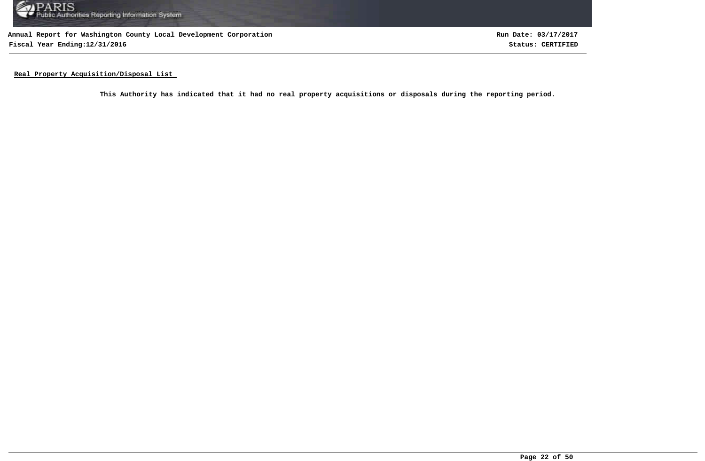

**Annual Report for Washington County Local Development Corporation Fiscal Year Ending:12/31/2016 Status: CERTIFIED**

**Run Date: 03/17/2017**

**Real Property Acquisition/Disposal List** 

**This Authority has indicated that it had no real property acquisitions or disposals during the reporting period.**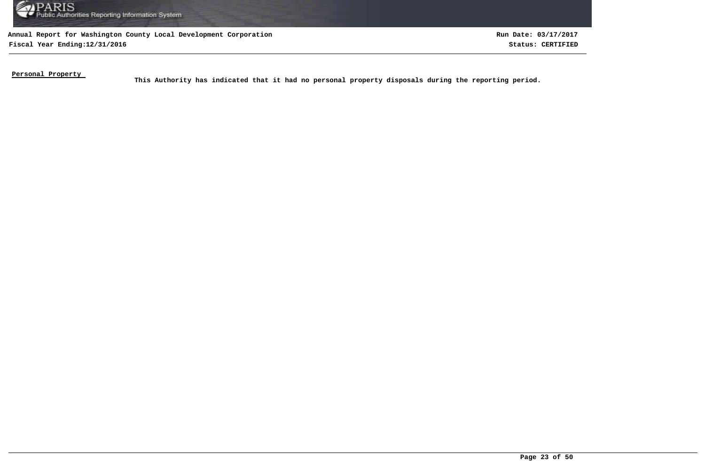

**Fiscal Year Ending:12/31/2016 Status: CERTIFIED Run Date: 03/17/2017**

**Personal Property** 

This Authority has indicated that it had no personal property disposals during the reporting period.<br>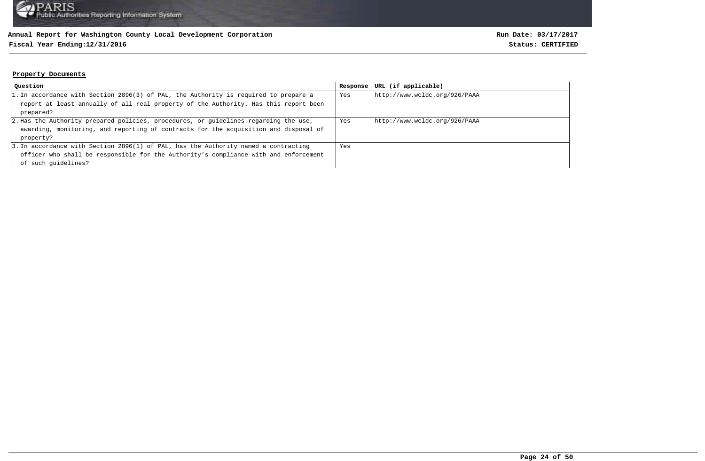# **Fiscal Year Ending:12/31/2016 Status: CERTIFIED**

#### **Property Documents**

| Question                                                                             | Response | URL (if applicable)           |
|--------------------------------------------------------------------------------------|----------|-------------------------------|
| 1. In accordance with Section 2896(3) of PAL, the Authority is required to prepare a | Yes      | http://www.wcldc.org/926/PAAA |
| report at least annually of all real property of the Authority. Has this report been |          |                               |
| prepared?                                                                            |          |                               |
| 2. Has the Authority prepared policies, procedures, or quidelines regarding the use, | Yes      | http://www.wcldc.org/926/PAAA |
| awarding, monitoring, and reporting of contracts for the acquisition and disposal of |          |                               |
| property?                                                                            |          |                               |
| 3. In accordance with Section 2896(1) of PAL, has the Authority named a contracting  | Yes      |                               |
| officer who shall be responsible for the Authority's compliance with and enforcement |          |                               |
| of such quidelines?                                                                  |          |                               |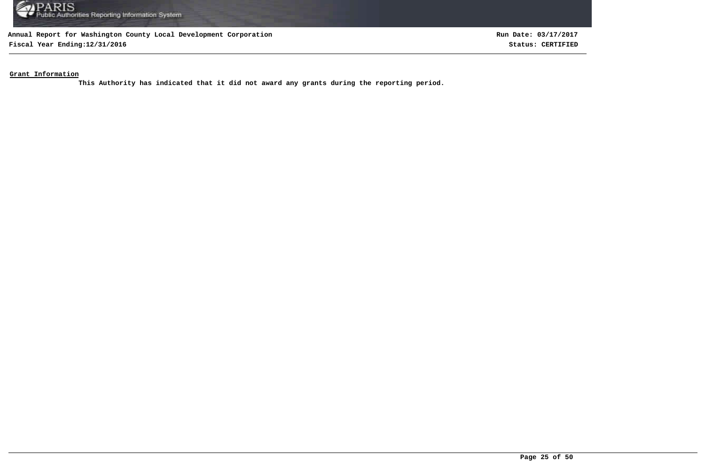

**Fiscal Year Ending:12/31/2016 Status: CERTIFIED**

**Run Date: 03/17/2017**

**Grant Information**

**This Authority has indicated that it did not award any grants during the reporting period.**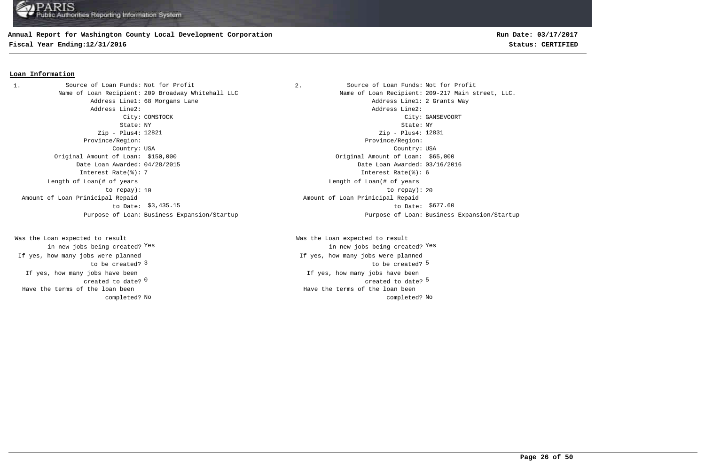## **Annual Report for Washington County Local Development Corporation**

**Fiscal Year Ending:12/31/2016 Status: CERTIFIED**

## **Loan Information**

1. Source of Loan Funds: Not for Profit  $\qquad \qquad$  2. Source of Loan Funds: Not for Profit Address Line1: 68 Morgans Lane Address Line1: 2 Grants Way Address Line2: Address Line2: State: NY State: NY Zip - Plus4: 12821 Province/Region: Province/Region: Country: USA Country: USA Original Amount of Loan: \$150,000 Original Amount of Loan: \$65,000 Date Loan Awarded: 04/28/2015 Date Loan Awarded: 03/16/2016 Interest Rate(%): 7 Interest Rate(%): 6 Length of Loan(# of years to repay): Amount of Loan Prinicipal Repaid to Date: \$3,435.15

If yes, how many jobs have been created to date? 0 Was the Loan expected to result in new jobs being created? Yes If yes, how many jobs were planned to be created? 3 Have the terms of the loan been completed?

Name of Loan Recipient: 209 Broadway Whitehall LLC Name of Loan Recipient: 209-217 Main street, LLC. City: COMSTOCK City: GANSEVOORT Zip - Plus4: 12831 10 to repay): 20 Length of Loan(# of years \$3,435.15 \$677.60 to Date: Amount of Loan Prinicipal Repaid Purpose of Loan: Business Expansion/Startup Purpose of Loan: Business Expansion/Startup

> $\sim$  0  $\sim$  5  $\sim$  5  $\sim$  5  $\sim$  5  $\sim$  5  $\sim$  5  $\sim$  5  $\sim$  5  $\sim$  5  $\sim$  5  $\sim$  5  $\sim$  5  $\sim$  5  $\sim$  5  $\sim$  5  $\sim$  5  $\sim$  5  $\sim$  5  $\sim$  5  $\sim$  5  $\sim$  5  $\sim$  5  $\sim$  5  $\sim$  5  $\sim$  5  $\sim$  5  $\sim$  5  $\sim$  5  $\sim$  5  $\sim$  5  $\sim$ If yes, how many jobs have been 3 and the contract of the contract of the contract of the contract of the contract of the contract of the contract of the contract of the contract of the contract of the contract of the contract of the contract of the cont Was the Loan expected to result in new jobs being created? Yes Yes If yes, how many jobs were planned No No completed? Have the terms of the loan been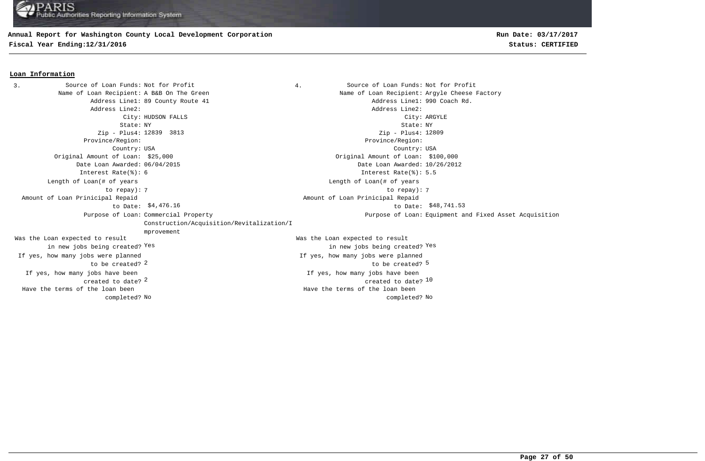## **Annual Report for Washington County Local Development Corporation**

**Fiscal Year Ending:12/31/2016 Status: CERTIFIED**

#### **Loan Information**

3. Source of Loan Funds: Not for Profit  $\begin{array}{ccc} 3. & 4. &$  Source of Loan Funds: Not for Profit Name of Loan Recipient: A B&B On The Green Name States and Name of Loan Recipient: Argyle Cheese Factory Address Line1: 89 County Route 41 Address Line1: 990 Coach Rd. Address Line2: Address Line2: City: HUDSON FALLS City: ARGYLE State: NY State: NY Zip - Plus4: 12839 3813 Province/Region: Province/Region: Country: USA Country: USA  $2$  created to date?  $10$ If yes, how many jobs have been created to date? If yes, how many jobs have been Original Amount of Loan: \$25,000 Original Amount of Loan: \$100,000 Date Loan Awarded: 06/04/2015 Date Loan Awarded: 10/26/2012 2 5 to be created? Was the Loan expected to result in new jobs being created? Yes Was the Loan expected to result in new jobs being created? Yes Yes Zip - Plus4: 12809 Interest Rate(%): 6 Interest Rate(%): 5.5 If yes, how many jobs were planned to be created? If yes, how many jobs were planned 7 7 to repay): Length of Loan(# of years to repay): Length of Loan(# of years \$4,476.16 to Date: \$48,741.53 Amount of Loan Prinicipal Repaid to Date: Amount of Loan Prinicipal Repaid Purpose of Loan: Commercial Property Construction/Acquisition/Revitalization/I mprovement Purpose of Loan: Equipment and Fixed Asset Acquisition No No completed? Have the terms of the loan been completed? Have the terms of the loan been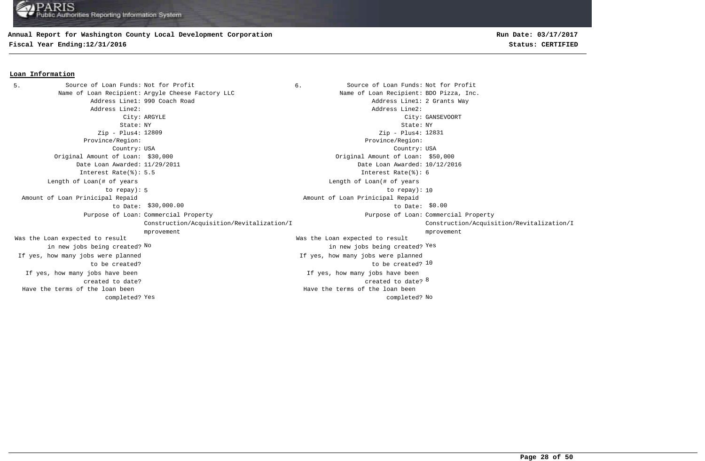# **Annual Report for Washington County Local Development Corporation**

**Fiscal Year Ending:12/31/2016 Status: CERTIFIED**

### **Loan Information**

5. Source of Loan Funds: Not for Profit  $\begin{array}{ccc} 6. & \hspace{1.5cm} & \hspace{1.5cm} & \hspace{1.5cm} & \hspace{1.5cm} & \hspace{1.5cm} & \hspace{1.5cm} & \hspace{1.5cm} & \hspace{1.5cm} & \hspace{1.5cm} & \hspace{1.5cm} & \hspace{1.5cm} & \hspace{1.5cm} & \hspace{1.5cm} & \hspace{1.5cm} & \hspace{1.5cm} & \hspace{1.5cm} & \hspace{1.5cm} &$ Name of Loan Recipient: Argyle Cheese Factory LLC Name of Loan Recipient: BDO Pizza, Inc. Address Line1: 990 Coach Road and Address Line1: 2 Grants Way Address Line2: Address Line2: City: ARGYLE City: GANSEVOORT State: NY State: NY Zip - Plus4: 12809 Province/Region: Province/Region: Country: USA Country: USA created to date? <sup>8</sup> If yes, how many jobs have been created to date? If yes, how many jobs have been Original Amount of Loan: \$30,000 Original Amount of Loan: \$50,000 Date Loan Awarded: 11/29/2011 Date Loan Awarded: 10/12/2016 to be created? 10 Was the Loan expected to result in new jobs being created? No Was the Loan expected to result new jobs being created? <sup>Yes</sup> in new jobs being created? <sup>Yes</sup> Zip - Plus4: 12831 Interest Rate(%): 5.5 Interest Rate(%): 6 If yes, how many jobs were planned to be created? If yes, how many jobs were planned 5 10 to repay): 10 Length of Loan(# of years to repay): Length of Loan(# of years  $$30,000.00$   $$60.00$  Amount of Loan Prinicipal Repaid to Date: \$30,000.00 Amount of Loan Prinicipal Repaid Purpose of Loan: Commercial Property **Example 2** and the community of Loan: Purpose of Loan: Construction/Acquisition/Revitalization/I mprovement Purpose of Loan: Commercial Property Construction/Acquisition/Revitalization/I mprovement Yes and the completed? No completed? No completed? No completed? No completed? No Have the terms of the loan been completed? Have the terms of the loan been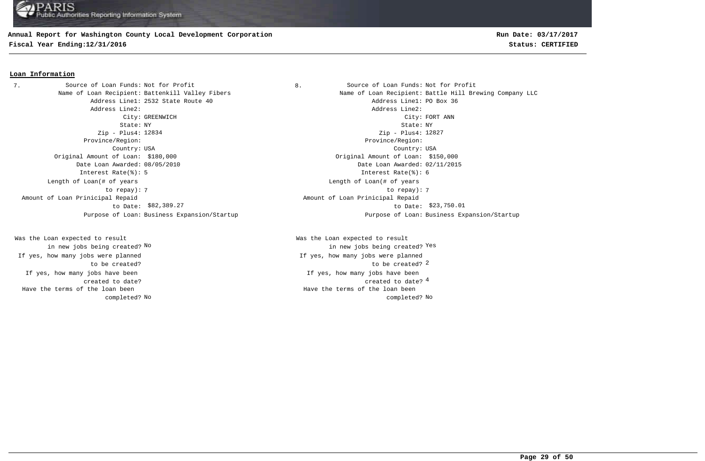# **Annual Report for Washington County Local Development Corporation**

**Fiscal Year Ending:12/31/2016 Status: CERTIFIED**

## **Loan Information**

7. Source of Loan Funds: Not for Profit  $\begin{array}{ccc} 8. & \hspace{1.5cm} & \hspace{1.5cm} & \hspace{1.5cm} & \hspace{1.5cm} & \hspace{1.5cm} & \hspace{1.5cm} & \hspace{1.5cm} & \hspace{1.5cm} & \hspace{1.5cm} & \hspace{1.5cm} & \hspace{1.5cm} & \hspace{1.5cm} & \hspace{1.5cm} & \hspace{1.5cm} & \hspace{1.5cm} & \hspace{1.5cm} & \hspace{1.5cm} &$ Address Line1: 2532 State Route 40 Address Line1: PO Box 36 Address Line2: Address Line2: State: NY State: NY Zip - Plus4: 12834 Province/Region: Province/Region: Country: USA Country: USA Original Amount of Loan: \$180,000 Original Amount of Loan: \$150,000 Date Loan Awarded: 08/05/2010 Date Loan Awarded: 02/11/2015 Interest Rate(%): 5 Interest Rate(%): 6 Length of Loan(# of years to repay): Amount of Loan Prinicipal Repaid to Date: \$82,389.27

If yes, how many jobs have been created to date? Was the Loan expected to result in new jobs being created? No If yes, how many jobs were planned to be created? Have the terms of the loan been completed?

Name of Loan Recipient: Battenkill Valley Fibers Name of Loan Recipient: Battle Hill Brewing Company LLC City: GREENWICH City: FORT ANN Zip - Plus4: 12827 7 7 to repay): Length of Loan(# of years \$82,389.27 **to Date:** \$23,750.01 Amount of Loan Prinicipal Repaid Purpose of Loan: Business Expansion/Startup Purpose of Loan: Business Expansion/Startup

> 4 created to date? If yes, how many jobs have been to be created? 2 Was the Loan expected to result new jobs being created? <sup>Yes</sup> in new jobs being created? <sup>Yes</sup> If yes, how many jobs were planned No No completed? Have the terms of the loan been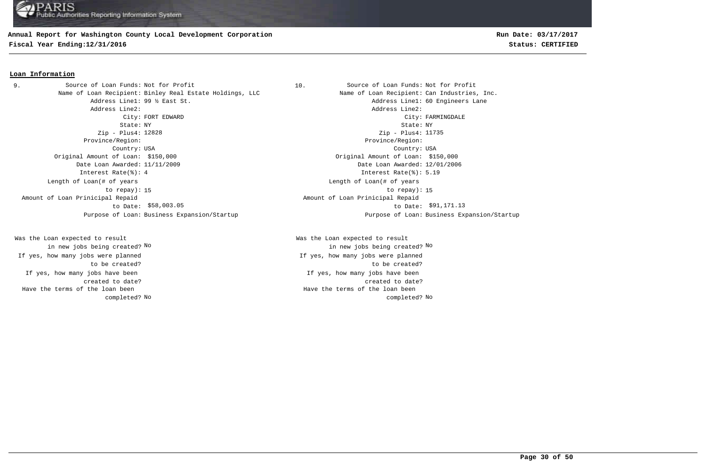## **Annual Report for Washington County Local Development Corporation**

**Fiscal Year Ending:12/31/2016 Status: CERTIFIED**

## **Loan Information**

Name of Loan Recipient: Binley Real Estate Holdings, LLC Name of Loan Recipient: Can Industries, Inc. Address Line2: Address Line2: State: NY State: NY Zip - Plus4: 12828 Province/Region: Province/Region: Country: USA Country: USA Original Amount of Loan: \$150,000 Original Amount of Loan: \$150,000 Date Loan Awarded: 11/11/2009 Date Loan Awarded: 12/01/2006 Interest Rate(%): 4 Interest Rate(%): 5.19 Length of Loan(# of years to repay): Amount of Loan Prinicipal Repaid to Date: \$58,003.05 9. Source of Loan Funds: Not for Profit

If yes, how many jobs have been created to date? Was the Loan expected to result in new jobs being created? No If yes, how many jobs were planned to be created? Have the terms of the loan been completed?

10. Source of Loan Funds: Not for Profit Address Line1: 99 % East St. Address Line1: 60 Engineers Lane City: FORT EDWARD City: FARMINGDALE Zip - Plus4: 11735 15 to repay): 15 Length of Loan(# of years  $$58,003.05$  to Date:  $$91,171.13$  Amount of Loan Prinicipal Repaid Purpose of Loan: Business Expansion/Startup Purpose of Loan: Business Expansion/Startup

> If yes, how many jobs have been created to date? Was the Loan expected to result in new jobs being created? No No If yes, how many jobs were planned to be created? No No completed? Have the terms of the loan been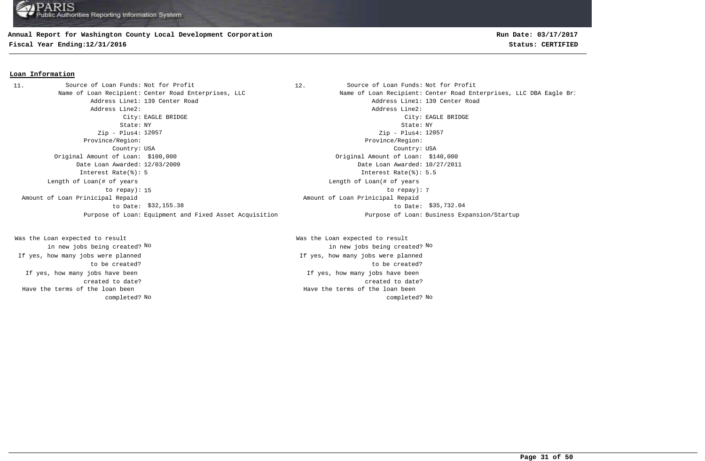#### **Annual Report for Washington County Local Development Corporation**

**Fiscal Year Ending:12/31/2016 Status: CERTIFIED**

#### **Loan Information**

Address Line1: 139 Center Road and Address Line1: 139 Center Road Address Line2: Address Line2: City: EAGLE BRIDGE City: EAGLE BRIDGE State: NY State: NY Zip - Plus4: 12057 Province/Region: Province/Region: Country: USA Country: USA Original Amount of Loan: \$100,000 Original Amount of Loan: \$140,000 Date Loan Awarded: 12/03/2009 Date Loan Awarded: 10/27/2011 Interest Rate(%): 5 Interest Rate(%): 5.5 15 to repay): 7 Length of Loan(# of years to repay): Amount of Loan Prinicipal Repaid to Date: \$32,155.38 11. Source of Loan Funds: Not for Profit

If yes, how many jobs have been created to date? Was the Loan expected to result in new jobs being created? No If yes, how many jobs were planned to be created? Have the terms of the loan been completed?

12. Source of Loan Funds: Not for Profit Name of Loan Recipient: Center Road Enterprises, LLC Name of Loan Recipient: Center Road Enterprises, LLC DBA Eagle Bri Zip - Plus4: 12057 Length of Loan(# of years \$32,155.38 \$35,732.04 to Date: Amount of Loan Prinicipal Repaid Purpose of Loan: Equipment and Fixed Asset Acquisition Purpose of Loan: Business Expansion/Startup

> If yes, how many jobs have been created to date? Was the Loan expected to result in new jobs being created? No No If yes, how many jobs were planned to be created? No No completed? Have the terms of the loan been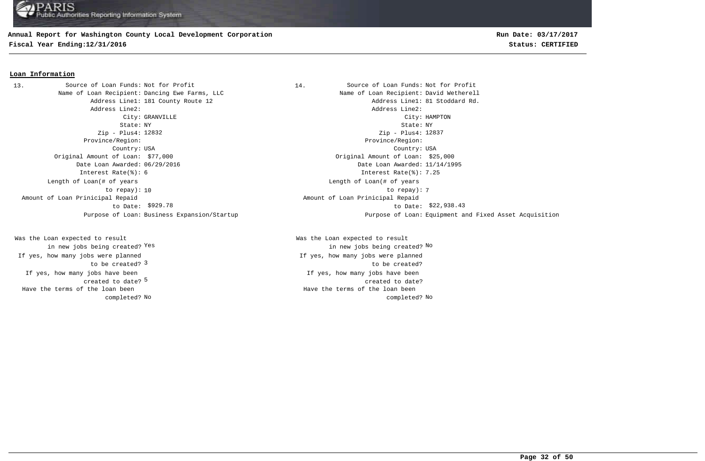## **Annual Report for Washington County Local Development Corporation**

**Fiscal Year Ending:12/31/2016 Status: CERTIFIED**

#### **Loan Information**

Name of Loan Recipient: Dancing Ewe Farms, LLC Name States Name of Loan Recipient: David Wetherell Address Line2: Address Line2: Zip - Plus4: 12832 Province/Region: Province/Region: Original Amount of Loan: \$77,000 Original Amount of Loan: \$25,000 Date Loan Awarded: 06/29/2016 Date Loan Awarded: 11/14/1995 Interest Rate(%): 6 Interest Rate(%): 7.25 Length of Loan(# of years to repay): Amount of Loan Prinicipal Repaid to Date: 13. Source of Loan Funds: Not for Profit

created to date? <sup>5</sup> If yes, how many jobs have been to be created? 3 Was the Loan expected to result in new jobs being created? Yes If yes, how many jobs were planned Have the terms of the loan been completed?

14. Source of Loan Funds: Not for Profit Address Line1: 181 County Route 12 and the county of the county Route 12 and the county Route 12 and the county Route 12 City: GRANVILLE City: HAMPTON State: NY State: NY Country: USA Country: USA Zip - Plus4: 12837 10 to repay): 7 Length of Loan(# of years  $$929.78$  to Date:  $$22,938.43$  Amount of Loan Prinicipal Repaid Purpose of Loan: Business Expansion/Startup Purpose of Loan: Equipment and Fixed Asset Acquisition

> If yes, how many jobs have been created to date? Was the Loan expected to result Yes the contraction of the contraction of the contraction of the contraction of  $\mathbb{N}^{\infty}$  and  $\mathbb{N}^{\infty}$ If yes, how many jobs were planned to be created? No No completed? Have the terms of the loan been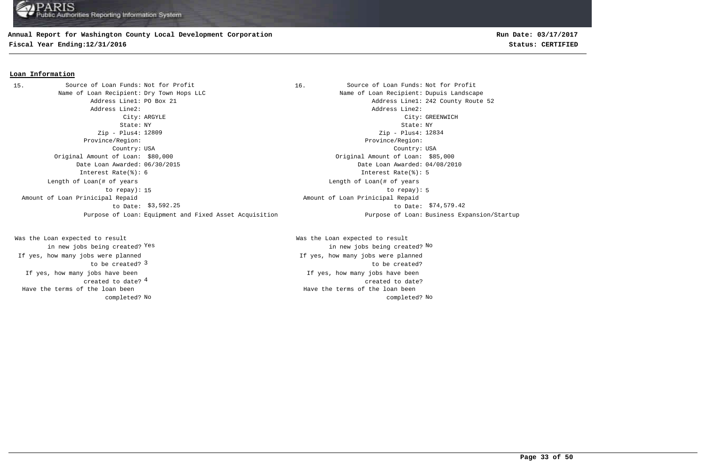# **Annual Report for Washington County Local Development Corporation**

**Fiscal Year Ending:12/31/2016 Status: CERTIFIED**

### **Loan Information**

Name of Loan Recipient: Dry Town Hops LLC Name of Loan Recipient: Dupuis Landscape Address Line1: PO Box 21 Address Line1: 242 County Route 52 Address Line2: Address Line2: City: ARGYLE City: GREENWICH State: NY State: NY Zip - Plus4: 12809 Province/Region: Province/Region: Country: USA Country: USA Original Amount of Loan: \$80,000 Original Amount of Loan: \$85,000 Date Loan Awarded: 06/30/2015 Date Loan Awarded: 04/08/2010 Interest Rate(%): 6 Interest Rate(%): 5 15 to repay): 5 Length of Loan(# of years to repay): \$3,592.25 to Date: \$74,579.42 Amount of Loan Prinicipal Repaid to Date: \$3,592.25 Purpose of Loan: Equipment and Fixed Asset Acquisition Purpose of Loan: Business Expansion/Startup 15. Source of Loan Funds: Not for Profit

4 created to date? If yes, how many jobs have been to be created? 3 Was the Loan expected to result in new jobs being created? Yes If yes, how many jobs were planned Have the terms of the loan been completed?

16. Source of Loan Funds: Not for Profit Zip - Plus4: 12834 Length of Loan(# of years Amount of Loan Prinicipal Repaid

If yes, how many jobs have been created to date? Was the Loan expected to result Yes the contraction of the contraction of the contraction of the contraction of  $\mathbb{N}^{\infty}$  and  $\mathbb{N}^{\infty}$ If yes, how many jobs were planned to be created? No No completed? Have the terms of the loan been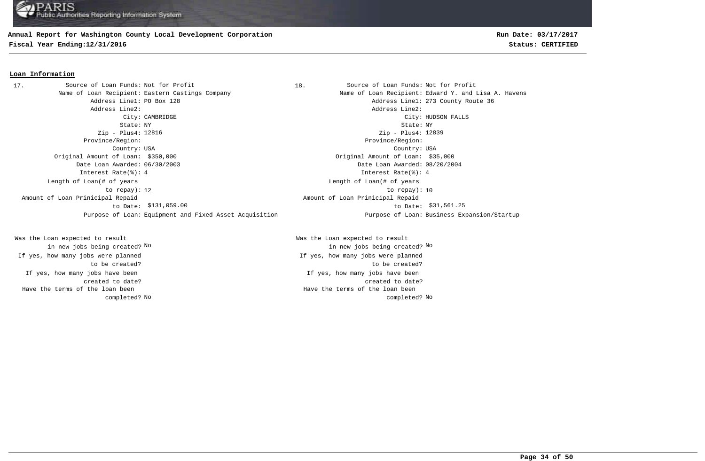## **Annual Report for Washington County Local Development Corporation**

**Fiscal Year Ending:12/31/2016 Status: CERTIFIED**

#### **Loan Information**

Address Line2: Address Line2: State: NY State: NY Zip - Plus4: Zip - Plus4: Province/Region: Province/Region: Country: USA Country: USA Original Amount of Loan: \$350,000 Original Amount of Loan: \$35,000 Date Loan Awarded: 06/30/2003 Date Loan Awarded: 08/20/2004 Interest Rate(%): 4 Interest Rate(%): 4 12 to repay): 10 Length of Loan(# of years to repay): Amount of Loan Prinicipal Repaid to Date: 17. Source of Loan Funds: Not for Profit

If yes, how many jobs have been created to date? Was the Loan expected to result in new jobs being created? No If yes, how many jobs were planned to be created? Have the terms of the loan been completed?

18. Source of Loan Funds: Not for Profit Name of Loan Recipient: Eastern Castings Company Name of Loan Recipient: Edward Y. and Lisa A. Havens Address Line1: PO Box 128 Address Line1: 273 County Route 36 City: CAMBRIDGE City: HUDSON FALLS Zip - Plus4: 12839 Length of Loan(# of years \$131,059.00 to Date: \$31,561.25 Amount of Loan Prinicipal Repaid Purpose of Loan: Equipment and Fixed Asset Acquisition Purpose of Loan: Business Expansion/Startup

> If yes, how many jobs have been created to date? Was the Loan expected to result in new jobs being created? No No If yes, how many jobs were planned to be created? No No completed? Have the terms of the loan been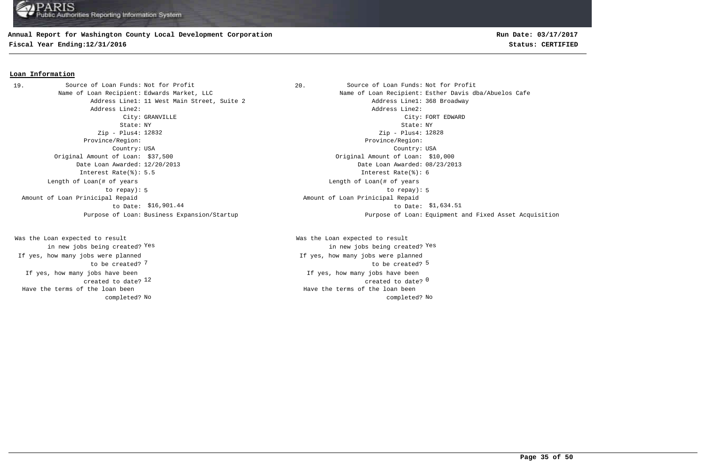## **Annual Report for Washington County Local Development Corporation**

**Fiscal Year Ending:12/31/2016 Status: CERTIFIED**

# **Run Date: 03/17/2017**

#### **Loan Information**

Address Line1: 11 West Main Street, Suite 2 and Address Line1: 368 Broadway Address Line2: Address Line2: State: NY State: NY Zip - Plus4: 12832 Province/Region: Province/Region: Country: USA Country: USA Original Amount of Loan: \$37,500 Original Amount of Loan: \$10,000 Date Loan Awarded: 12/20/2013 Date Loan Awarded: 08/23/2013 Interest Rate(%): 5.5 Interest Rate(%): 6 Length of Loan(# of years to repay): Amount of Loan Prinicipal Repaid to Date: \$16,901.44 19. Source of Loan Funds: Not for Profit

If yes, how many jobs have been created to date? 12 Was the Loan expected to result in new jobs being created? Yes If yes, how many jobs were planned to be created? 7 Have the terms of the loan been completed?

20. Source of Loan Funds: Not for Profit Name of Loan Recipient: Edwards Market, LLC Name of Loan Recipient: Esther Davis dba/Abuelos Cafe City: GRANVILLE CHARD CONSULTER CONSULTER CONSUMING COMPANY CONSULTER CONSULTER CONSULTER CONSULTER CONSULTER CONSULTER CONSULTER CONSULTER CONSULTER CONSULTER CONSULTER CONSULTER CONSULTER CONSULTER CONSULTER CONSULTER CO Zip - Plus4: 12828 5 to repay): 5 Length of Loan(# of years \$16,901.44 \$1,634.51 to Date: Amount of Loan Prinicipal Repaid Purpose of Loan: Business Expansion/Startup Purpose of Loan: Equipment and Fixed Asset Acquisition

> $12$  created to date?  $0$ If yes, how many jobs have been The contraction of the contraction of the contraction of the contraction of the contraction of the contraction of the contraction of the contraction of the contraction of the contraction of the contraction of the contracti Was the Loan expected to result in new jobs being created? Yes Yes If yes, how many jobs were planned No No completed? Have the terms of the loan been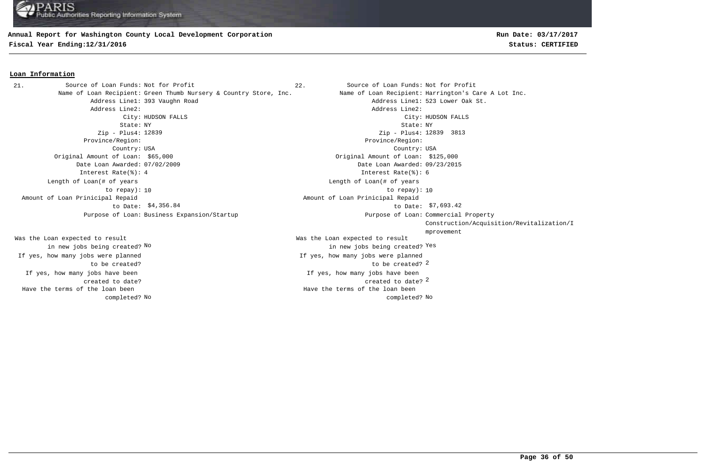#### **Annual Report for Washington County Local Development Corporation**

**Fiscal Year Ending:12/31/2016 Status: CERTIFIED**

## **Loan Information**

Address Line1: 393 Vaughn Road Address Line1: 523 Lower Oak St. Address Line2: Address Line2: State: NY State: NY Zip - Plus4: Zip - Plus4: 3813 12839 12839 Province/Region: Province/Region: Country: USA Country: USA Original Amount of Loan: \$65,000 Original Amount of Loan: \$125,000 Date Loan Awarded: 07/02/2009 Date Loan Awarded: 09/23/2015 Interest Rate(%): 4 Interest Rate(%): 6 10 to repay): 10 Length of Loan(# of years to repay): Amount of Loan Prinicipal Repaid to Date: \$4,356.84 Purpose of Loan: Business Expansion/Startup 21. Source of Loan Funds: Not for Profit

If yes, how many jobs have been created to date? Was the Loan expected to result in new jobs being created? No If yes, how many jobs were planned to be created? Have the terms of the loan been completed? **Run Date: 03/17/2017**

22. Source of Loan Funds: Not for Profit Name of Loan Recipient: Green Thumb Nursery & Country Store, Inc. Name of Loan Recipient: Harrington's Care A Lot Inc. City: HUDSON FALLS City: HUDSON FALLS created to date? 2 If yes, how many jobs have been to be created? 2 Was the Loan expected to result new jobs being created? <sup>Yes</sup> in new jobs being created? <sup>Yes</sup> If yes, how many jobs were planned Length of Loan(# of years \$4,356.84 \$7,693.42 to Date: Amount of Loan Prinicipal Repaid Purpose of Loan: Commercial Property Construction/Acquisition/Revitalization/I mprovement No No completed? Have the terms of the loan been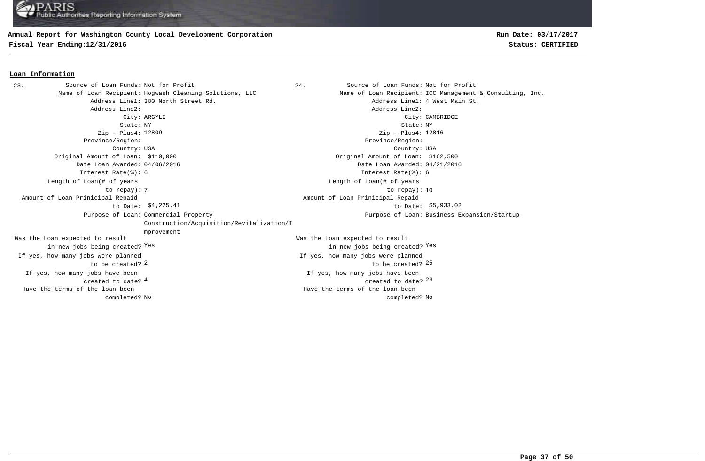## **Annual Report for Washington County Local Development Corporation**

**Fiscal Year Ending:12/31/2016 Status: CERTIFIED**

# **Run Date: 03/17/2017**

#### **Loan Information**

23. Source of Loan Funds: Not for Profit  $24.$  Source of Loan Funds: Not for Profit Name of Loan Recipient: Hogwash Cleaning Solutions, LLC Name of Loan Recipient: ICC Management & Consulting, Inc. Address Line1: 380 North Street Rd. Address Line1: 4 West Main St. Address Line2: Address Line2: City: ARGYLE City: CAMBRIDGE State: NY State: NY Zip - Plus4: 12809 Province/Region: Province/Region: Country: USA Country: USA and the set of the contract of the contract of the contract of the contract of the contract of the contract of  $29$ If yes, how many jobs have been created to date? If yes, how many jobs have been Original Amount of Loan: \$110,000 Original Amount of Loan: \$162,500 Date Loan Awarded: 04/06/2016 Date Loan Awarded: 04/21/2016  $2$  to be created?  $25$ Was the Loan expected to result in new jobs being created? Yes Was the Loan expected to result in new jobs being created? Yes Yes Zip - Plus4: 12816 Interest Rate(%): 6 Interest Rate(%): 6 If yes, how many jobs were planned to be created? If yes, how many jobs were planned The contract of the contract of the contract of the contract of the contract of the contract of the contract of the contract of the contract of the contract of the contract of the contract of the contract of the contract o Length of Loan(# of years to repay): Length of Loan(# of years \$4,225.41 to Date: \$5,933.02 Amount of Loan Prinicipal Repaid to Date: Amount of Loan Prinicipal Repaid Purpose of Loan: Commercial Property Construction/Acquisition/Revitalization/I mprovement Purpose of Loan: Business Expansion/Startup No No completed? Have the terms of the loan been completed? Have the terms of the loan been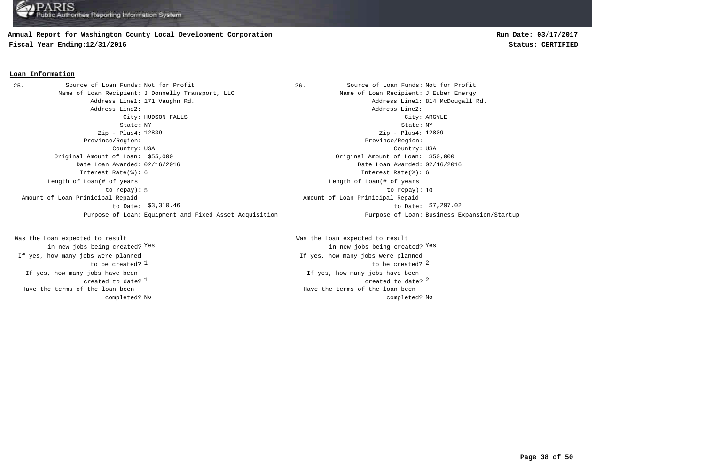## **Annual Report for Washington County Local Development Corporation**

**Fiscal Year Ending:12/31/2016 Status: CERTIFIED**

# **Run Date: 03/17/2017**

#### **Loan Information**

25. Source of Loan Funds: Not for Profit and Source of Loan Funds: Not for Profit Name of Loan Recipient: J Donnelly Transport, LLC Name of Loan Recipient: J Euber Energy Address Line1: 171 Vaughn Rd. 2008 and the Communication of the Address Line1: 814 McDougall Rd. Address Line2: Address Line2: City: HUDSON FALLS City: ARGYLE State: NY State: NY Zip - Plus4: 12839 Province/Region: Province/Region: Country: USA Country: USA Original Amount of Loan: \$55,000 Original Amount of Loan: \$50,000 Date Loan Awarded: 02/16/2016 Date Loan Awarded: 02/16/2016 Interest Rate(%): 6 Interest Rate(%): 6 5 10 to repay): 10 Length of Loan(# of years to repay): \$3,310.46 to Date: \$7,297.02 Amount of Loan Prinicipal Repaid to Date: Purpose of Loan: Equipment and Fixed Asset Acquisition Purpose of Loan: Business Expansion/Startup

If yes, how many jobs have been created to date?  $1$ Was the Loan expected to result in new jobs being created? Yes If yes, how many jobs were planned to be created? 1 Have the terms of the loan been completed?

Zip - Plus4: 12809 Length of Loan(# of years Amount of Loan Prinicipal Repaid

 $\frac{1}{2}$  created to date?  $\frac{2}{3}$ If yes, how many jobs have been  $\frac{1}{2}$  to be created?  $\frac{2}{3}$ Was the Loan expected to result in new jobs being created? Yes Yes If yes, how many jobs were planned No No completed? Have the terms of the loan been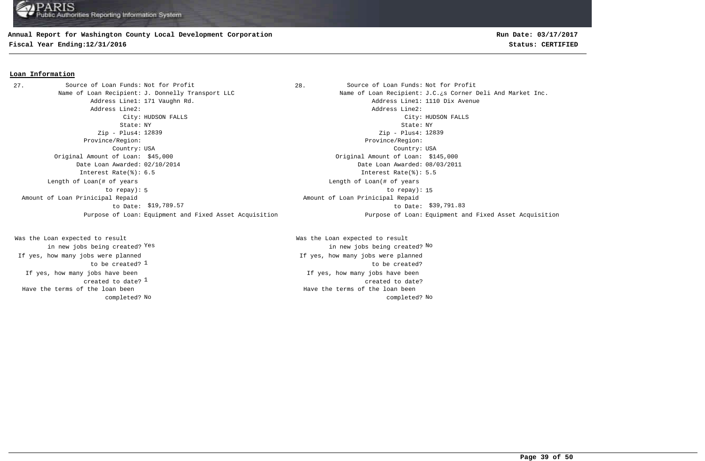## **Annual Report for Washington County Local Development Corporation**

**Fiscal Year Ending:12/31/2016 Status: CERTIFIED**

### **Loan Information**

27. Source of Loan Funds: Not for Profit and Source of Loan Funds: Not for Profit Address Line1: 171 Vaughn Rd. Address Line1: 1110 Dix Avenue Address Line2: Address Line2: State: NY State: NY Zip - Plus4: 12839 Province/Region: Province/Region: Country: USA Country: USA Original Amount of Loan: \$45,000 Original Amount of Loan: \$145,000 Date Loan Awarded: 02/10/2014 Date Loan Awarded: 08/03/2011 Interest Rate(%): 6.5 **Interest Rate(%): 5.5** 5 to repay): 15 Length of Loan(# of years to repay): Amount of Loan Prinicipal Repaid to Date:

created to date?  $^{\rm 1}$ If yes, how many jobs have been to be created? <sup>1</sup> Was the Loan expected to result in new jobs being created? Yes If yes, how many jobs were planned Have the terms of the loan been completed?

Name of Loan Recipient: J. Donnelly Transport LLC Name of Loan Recipient: J.C.¿s Corner Deli And Market Inc. City: HUDSON FALLS City: HUDSON FALLS Zip - Plus4: 12839 Length of Loan(# of years \$19,789.57 \$39,791.83 to Date: Amount of Loan Prinicipal Repaid Purpose of Loan: Equipment and Fixed Asset Acquisition Purpose of Loan: Equipment and Fixed Asset Acquisition

> If yes, how many jobs have been created to date? Was the Loan expected to result Yes the contraction of the contraction of the contraction of the contraction of  $\mathbb{N}^{\infty}$  and  $\mathbb{N}^{\infty}$ If yes, how many jobs were planned to be created? No No completed? Have the terms of the loan been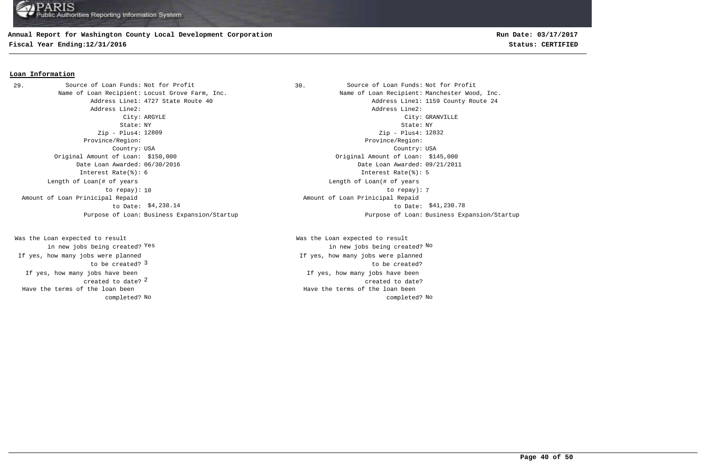# **Annual Report for Washington County Local Development Corporation**

**Fiscal Year Ending:12/31/2016 Status: CERTIFIED**

# **Run Date: 03/17/2017**

### **Loan Information**

Address Line2: Address Line2: Zip - Plus4: 12809 Province/Region: Province/Region: Original Amount of Loan: \$150,000 Original Amount of Loan: \$145,000 Date Loan Awarded: 06/30/2016 Date Loan Awarded: 09/21/2011 Interest Rate(%): 6 Interest Rate(%): 5 Length of Loan(# of years to repay): Amount of Loan Prinicipal Repaid to Date: 29. Source of Loan Funds: Not for Profit

2 created to date? If yes, how many jobs have been to be created? 3 Was the Loan expected to result in new jobs being created? Yes If yes, how many jobs were planned Have the terms of the loan been completed?

Source of Loan Funds: Not for Profit Source of Loan Funds: Not for Profit Name of Loan Recipient: Locust Grove Farm, Inc. Name of Loan Recipient: Manchester Wood, Inc. Address Line1: 4727 State Route 40 Address Line1: 1159 County Route 24 City: ARGYLE City: GRANVILLE State: NY State: NY Country: USA Country: USA Zip - Plus4: 12832 10 to repay): 7 Length of Loan(# of years \$4,238.14 to Date: \$41,230.78 Amount of Loan Prinicipal Repaid Purpose of Loan: Business Expansion/Startup Purpose of Loan: Business Expansion/Startup

> If yes, how many jobs have been created to date? Was the Loan expected to result Yes the contraction of the contraction of the contraction of the contraction of  $\mathbb{N}^{\infty}$  and  $\mathbb{N}^{\infty}$ If yes, how many jobs were planned to be created? No No completed? Have the terms of the loan been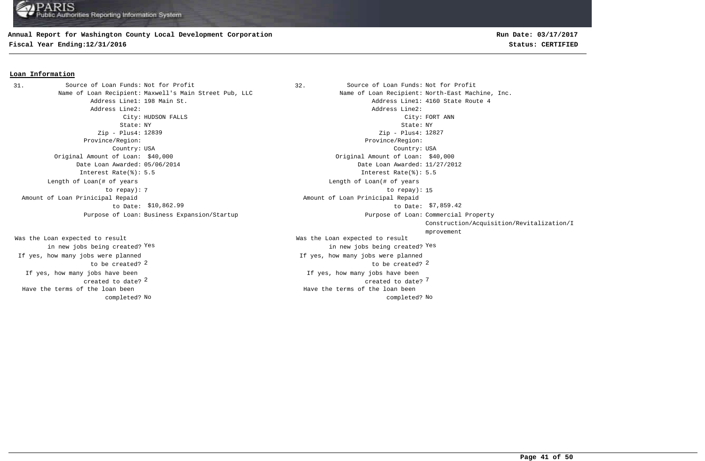## **Annual Report for Washington County Local Development Corporation**

**Fiscal Year Ending:12/31/2016 Status: CERTIFIED**

# **Run Date: 03/17/2017**

#### **Loan Information**

31. Source of Loan Funds: Not for Profit (32. Source of Loan Funds: Not for Profit Address Line2: Address Line2: State: NY State: NY Zip - Plus4: 12839 Province/Region: Province/Region: Country: USA Country: USA Original Amount of Loan: \$40,000 Original Amount of Loan: \$40,000 Date Loan Awarded: 05/06/2014 Date Loan Awarded: 11/27/2012 Interest Rate(%): 5.5 Interest Rate(%): 5.5 Length of Loan(# of years to repay): Amount of Loan Prinicipal Repaid to Date: \$10,862.99 Purpose of Loan: Business Expansion/Startup

If yes, how many jobs have been created to date? Was the Loan expected to result in new jobs being created? Yes If yes, how many jobs were planned to be created? Have the terms of the loan been completed?

Name of Loan Recipient: Maxwell's Main Street Pub, LLC Name State Mame of Loan Recipient: North-East Machine, Inc. Address Line1: 198 Main St. Address Line1: 4160 State Route 4 City: HUDSON FALLS City: FORT ANN 2 7 created to date? If yes, how many jobs have been  $2$  to be created?  $2$ Was the Loan expected to result in new jobs being created? Yes Yes Zip - Plus4: 12827 If yes, how many jobs were planned The contract of the contract of the contract of the contract of the contract of the contract of the contract of the contract of the contract of the contract of the contract of the contract of the contract of the contract o Length of Loan(# of years \$10,862.99 \$7,859.42 to Date: Amount of Loan Prinicipal Repaid Purpose of Loan: Commercial Property Construction/Acquisition/Revitalization/I mprovement No No completed? Have the terms of the loan been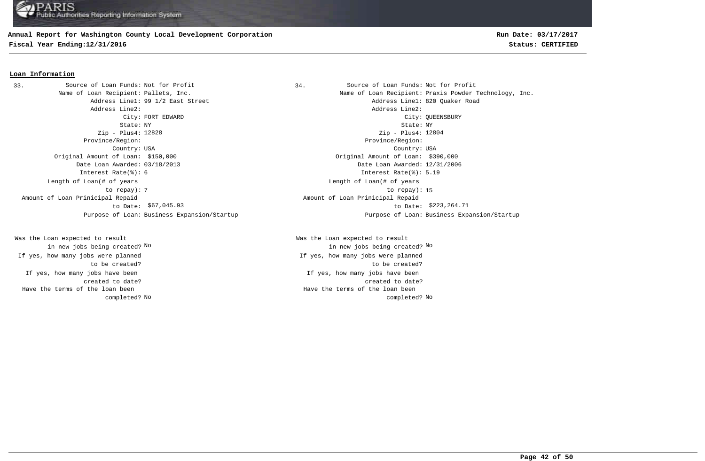# **Annual Report for Washington County Local Development Corporation**

**Fiscal Year Ending:12/31/2016 Status: CERTIFIED**

# **Run Date: 03/17/2017**

#### **Loan Information**

Address Line2: Address Line2: Zip - Plus4: 12828 Province/Region: Province/Region: Original Amount of Loan: \$150,000 Original Amount of Loan: \$390,000 Date Loan Awarded: 03/18/2013 Date Loan Awarded: 12/31/2006 Interest Rate(%): 6 Interest Rate(%): 5.19 Length of Loan(# of years to repay): Amount of Loan Prinicipal Repaid to Date: \$67,045.93 33. Source of Loan Funds: Not for Profit

If yes, how many jobs have been created to date? Was the Loan expected to result in new jobs being created? No If yes, how many jobs were planned to be created? Have the terms of the loan been completed?

Source of Loan Funds: Not for Profit Source of Loan Funds: Not for Profit Name of Loan Recipient: Pallets, Inc. The Same of Loan Recipient: Praxis Powder Technology, Inc. Address Line1: 99 1/2 East Street Address Line1: 820 Quaker Road City: FORT EDWARD City: QUEENSBURY State: NY State: NY Country: USA Country: USA Zip - Plus4: 12804 The contract of the contract of the contract of the contract of the contract of the contract of the contract of the contract of the contract of the contract of the contract of the contract of the contract of the contract o Length of Loan(# of years \$67,045.93 \$223,264.71 to Date: Amount of Loan Prinicipal Repaid Purpose of Loan: Business Expansion/Startup Purpose of Loan: Business Expansion/Startup

> If yes, how many jobs have been created to date? Was the Loan expected to result in new jobs being created? No No If yes, how many jobs were planned to be created? No No completed? Have the terms of the loan been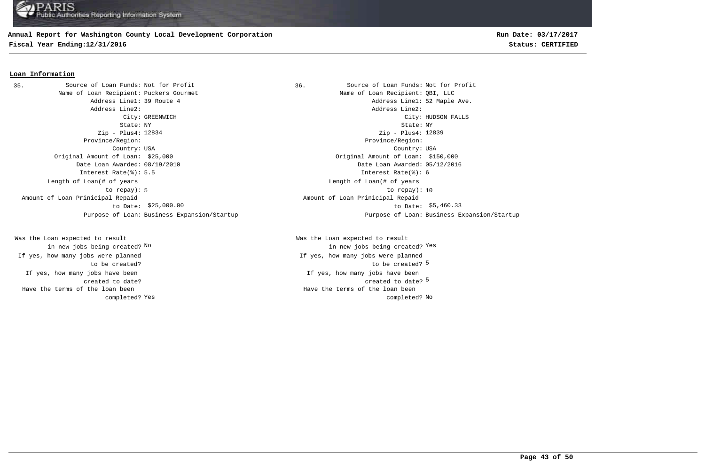# **Annual Report for Washington County Local Development Corporation**

**Fiscal Year Ending:12/31/2016 Status: CERTIFIED**

#### **Loan Information**

35. Source of Loan Funds: Not for Profit 1997 1898. Source of Loan Funds: Not for Profit Name of Loan Recipient: Puckers Gourmet Name of Loan Recipient: QBI, LLC Address Line2: Address Line2: Zip - Plus4: 12834 Province/Region: Province/Region: Original Amount of Loan: \$25,000 Original Amount of Loan: \$150,000 Date Loan Awarded: 08/19/2010 Date Loan Awarded: 05/12/2016 Interest Rate(%): 5.5 Interest Rate(%): 6 Length of Loan(# of years to repay): Amount of Loan Prinicipal Repaid to Date: \$25,000.00

If yes, how many jobs have been created to date? Was the Loan expected to result in new jobs being created? No If yes, how many jobs were planned to be created? Have the terms of the loan been completed?

Address Line1: 39 Route 4 and the set of the Ave. Address Line1: 52 Maple Ave. City: GREENWICH City: HUDSON FALLS State: NY State: NY Country: USA Country: USA Zip - Plus4: 12839 5 10 to repay): 10 Length of Loan(# of years \$25,000.00 \$5,460.33 to Date: Amount of Loan Prinicipal Repaid Purpose of Loan: Business Expansion/Startup Purpose of Loan: Business Expansion/Startup

> created to date? <sup>5</sup> If yes, how many jobs have been to be created? 5 Was the Loan expected to result new jobs being created? <sup>Yes</sup> in new jobs being created? <sup>Yes</sup> If yes, how many jobs were planned Yes and the completed? No completed? No completed? No completed? No completed? No Have the terms of the loan been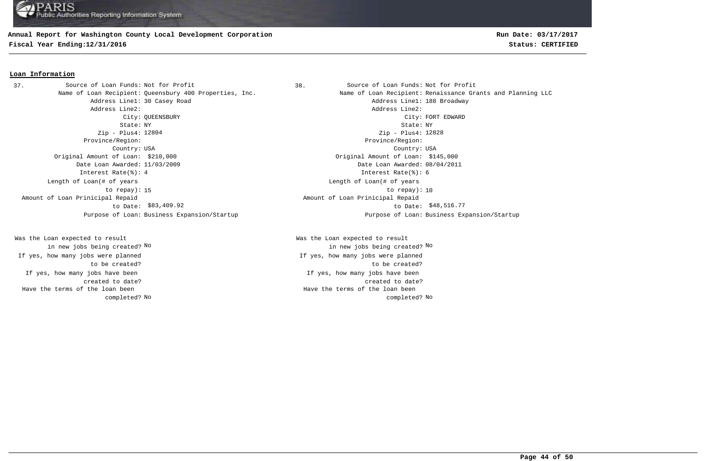### **Annual Report for Washington County Local Development Corporation**

**Fiscal Year Ending:12/31/2016 Status: CERTIFIED**

# **Run Date: 03/17/2017**

### **Loan Information**

37. Source of Loan Funds: Not for Profit (38. Source of Loan Funds: Not for Profit Address Line2: Address Line2: State: NY State: NY Zip - Plus4: Zip - Plus4: Province/Region: Province/Region: Country: USA Country: USA Original Amount of Loan: \$210,000 Original Amount of Loan: \$145,000 Date Loan Awarded: 11/03/2009 Date Loan Awarded: 08/04/2011 Interest Rate(%): 4 Interest Rate(%): 6 Length of Loan(# of years to repay): Amount of Loan Prinicipal Repaid to Date: \$83,409.92 Purpose of Loan: Business Expansion/Startup Purpose of Loan: Business Expansion/Startup

If yes, how many jobs have been created to date? Was the Loan expected to result in new jobs being created? No If yes, how many jobs were planned to be created? Have the terms of the loan been completed?

Name of Loan Recipient: Queensbury 400 Properties, Inc. Name of Loan Recipient: Renaissance Grants and Planning LLC Address Line1: 30 Casey Road and Address Line1: 188 Broadway City: QUEENSBURY City: FORT EDWARD Zip - Plus4: 12828 15 to repay): 10 Length of Loan(# of years \$83,409.92 \$48,516.77 to Date: Amount of Loan Prinicipal Repaid

If yes, how many jobs have been created to date? Was the Loan expected to result in new jobs being created? No No If yes, how many jobs were planned to be created? No No completed? Have the terms of the loan been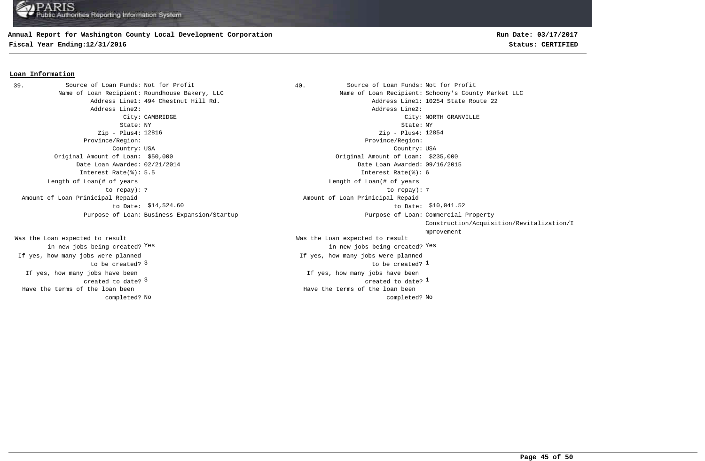## **Annual Report for Washington County Local Development Corporation**

**Fiscal Year Ending:12/31/2016 Status: CERTIFIED**

# **Run Date: 03/17/2017**

#### **Loan Information**

39. Source of Loan Funds: Not for Profit  $\begin{array}{ccc} 39. & 40. & 50 \end{array}$  Source of Loan Funds: Not for Profit Address Line2: Address Line2: Zip - Plus4: Zip - Plus4: Province/Region: Province/Region: Original Amount of Loan: \$50,000 Original Amount of Loan: \$235,000 Interest Rate(%): 5.5 Interest Rate(%): 6 Length of Loan(# of years to repay): Amount of Loan Prinicipal Repaid to Date: Purpose of Loan: Business Expansion/Startup

If yes, how many jobs have been created to date? Was the Loan expected to result in new jobs being created? Yes If yes, how many jobs were planned to be created? 3 Have the terms of the loan been completed?

Name of Loan Recipient: Roundhouse Bakery, LLC Name of Loan Recipient: Schoony's County Market LLC Address Line1: 494 Chestnut Hill Rd. Address Line1: 10254 State Route 22 City: CAMBRIDGE City: NORTH GRANVILLE State: NY State: NY Country: USA Country: USA  $\sim$  3  $\sim$  2  $\sim$  2  $\sim$  2  $\sim$  2  $\sim$  2  $\sim$  2  $\sim$  2  $\sim$  2  $\sim$  2  $\sim$  2  $\sim$  2  $\sim$  2  $\sim$  2  $\sim$  2  $\sim$  2  $\sim$  2  $\sim$  2  $\sim$  2  $\sim$  2  $\sim$  2  $\sim$  2  $\sim$  2  $\sim$  2  $\sim$  2  $\sim$  2  $\sim$  2  $\sim$  2  $\sim$  2  $\sim$  2  $\sim$  2  $\sim$ If yes, how many jobs have been Date Loan Awarded: 02/21/2014 Date Loan Awarded: 09/16/2015  $\sim$  1  $\sim$  100  $\mu$   $\sim$  100  $\mu$   $\sim$  100  $\mu$   $\sim$  100  $\mu$   $\sim$  100  $\mu$   $\sim$  100  $\mu$   $\sim$  100  $\mu$   $\sim$  100  $\mu$   $\sim$  100  $\mu$   $\sim$  100  $\mu$   $\sim$  100  $\mu$   $\sim$  100  $\mu$   $\sim$  100  $\mu$   $\sim$  100  $\mu$   $\sim$  100  $\mu$   $\sim$ Was the Loan expected to result in new jobs being created? Yes Yes Zip - Plus4: 12854 If yes, how many jobs were planned 7 7 to repay): Length of Loan(# of years \$14,524.60 to Date: \$10,041.52 Amount of Loan Prinicipal Repaid Purpose of Loan: Commercial Property Construction/Acquisition/Revitalization/I mprovement No No completed? Have the terms of the loan been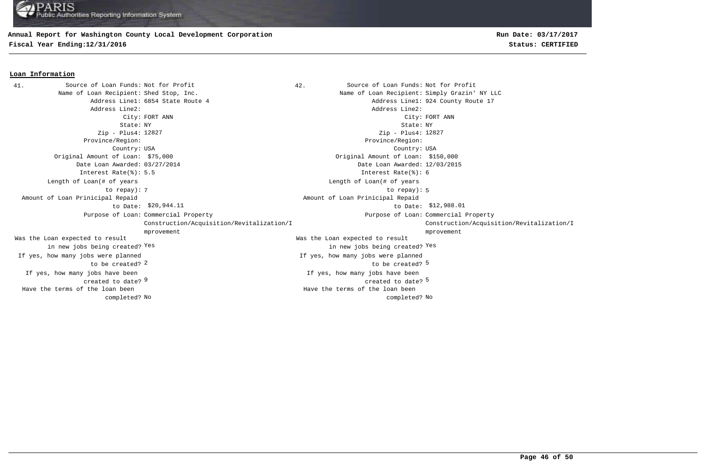## **Annual Report for Washington County Local Development Corporation**

**Fiscal Year Ending:12/31/2016 Status: CERTIFIED**

### **Loan Information**

41. Source of Loan Funds: Not for Profit (and Source of Loan Funds: Not for Profit Name of Loan Recipient: Shed Stop, Inc. Name of Loan Recipient: Simply Grazin' NY LLC Address Line1: 6854 State Route 4 and 17 and 17 and 17 and 18 address Line1: 924 County Route 17 Address Line2: Address Line2: City: FORT ANN City: FORT ANN State: NY State: NY Zip - Plus4: 12827 Province/Region: Province/Region: Country: USA Country: USA  $9$  created to date?  $5$ If yes, how many jobs have been created to date? If yes, how many jobs have been Original Amount of Loan: \$75,000 Original Amount of Loan: \$150,000 Date Loan Awarded: 03/27/2014 Date Loan Awarded: 12/03/2015 2 5 to be created? Was the Loan expected to result in new jobs being created? Yes Was the Loan expected to result in new jobs being created? Yes Yes Zip - Plus4: 12827 Interest Rate(%): 5.5 Interest Rate(%): 6 If yes, how many jobs were planned to be created? If yes, how many jobs were planned The state of the state of the state of the state of the state of the state of the state of the state of the state of the state of the state of the state of the state of the state of the state of the state of the state of t Length of Loan(# of years to repay): Length of Loan(# of years \$20,944.11 to Date: \$12,988.01 Amount of Loan Prinicipal Repaid to Date: \$20,944.11 Amount of Loan Prinicipal Repaid Purpose of Loan: Commercial Property **Example 2** and the community of Loan: Purpose of Loan: Construction/Acquisition/Revitalization/I mprovement Purpose of Loan: Commercial Property Construction/Acquisition/Revitalization/I mprovement No No completed? Have the terms of the loan been completed? Have the terms of the loan been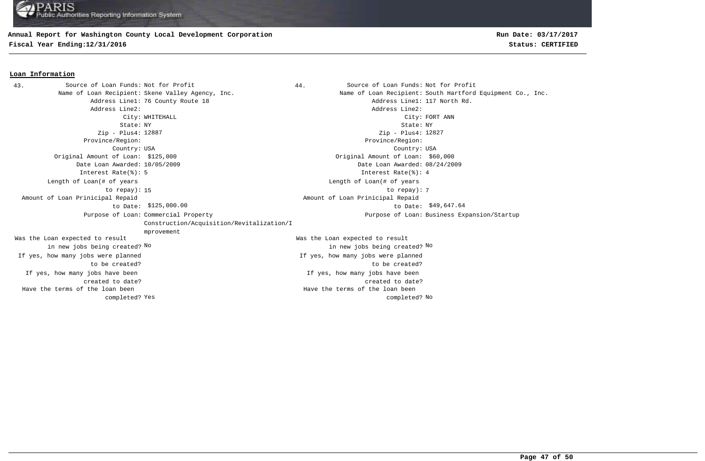### **Annual Report for Washington County Local Development Corporation**

**Fiscal Year Ending:12/31/2016 Status: CERTIFIED**

#### **Loan Information**

43. Source of Loan Funds: Not for Profit and Source of Loan Funds: Not for Profit Name of Loan Recipient: Skene Valley Agency, Inc. Name of Loan Recipient: South Hartford Equipment Co., Inc. Address Line1: 76 County Route 18 **Address Line1: 117 North Rd.** Address Line2: Address Line2: City: WHITEHALL City: FORT ANN State: NY State: NY Zip - Plus4: 12887 Province/Region: Province/Region: Country: USA Country: USA If yes, how many jobs have been created to date? If yes, how many jobs have been created to date? Original Amount of Loan: \$125,000 Original Amount of Loan: \$60,000 Date Loan Awarded: 10/05/2009 Date Loan Awarded: 08/24/2009 Was the Loan expected to result in new jobs being created? No Was the Loan expected to result in new jobs being created? No No Zip - Plus4: 12827 Interest Rate(%): 5 Interest Rate(%): 4 If yes, how many jobs were planned to be created? If yes, how many jobs were planned to be created? 15 to repay): 7 Length of Loan(# of years to repay): Length of Loan(# of years  $$125,000.00$   $$49,647.64$  Amount of Loan Prinicipal Repaid to Date: Amount of Loan Prinicipal Repaid Purpose of Loan: Commercial Property Construction/Acquisition/Revitalization/I mprovement Purpose of Loan: Business Expansion/Startup Yes and the completed? No completed? No completed? No completed? No completed? No Have the terms of the loan been completed? Have the terms of the loan been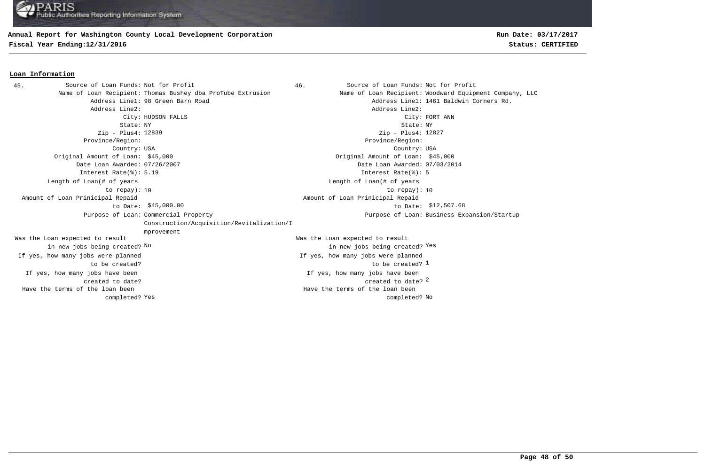## **Annual Report for Washington County Local Development Corporation**

**Fiscal Year Ending:12/31/2016 Status: CERTIFIED**

### **Loan Information**

46. Source of Loan Funds: Not for Profit Name of Loan Recipient: Thomas Bushey dba ProTube Extrusion Name of Loan Recipient: Woodward Equipment Company, LLC Address Line1: 98 Green Barn Road Address Line1: 1461 Baldwin Corners Rd. Address Line2: Address Line2: City: HUDSON FALLS City: FORT ANN State: NY State: NY Zip - Plus4: 12839 Province/Region: Province/Region: Country: USA Country: USA created to date? 2 If yes, how many jobs have been created to date? If yes, how many jobs have been Original Amount of Loan: \$45,000 Original Amount of Loan: \$45,000 Date Loan Awarded: 07/26/2007 Date Loan Awarded: 07/03/2014 to be created? 1 Was the Loan expected to result in new jobs being created? No Was the Loan expected to result new jobs being created? <sup>Yes</sup> in new jobs being created? <sup>Yes</sup> Zip - Plus4: 12827 Interest Rate(%): 5.19 Interest Rate(%): 5 If yes, how many jobs were planned to be created? If yes, how many jobs were planned 10 to repay): 10 Length of Loan(# of years to repay): Length of Loan(# of years  $$45,000.00$   $$12,507.68$  Amount of Loan Prinicipal Repaid to Date: Amount of Loan Prinicipal Repaid Purpose of Loan: Commercial Property Construction/Acquisition/Revitalization/I mprovement Purpose of Loan: Business Expansion/Startup Yes and the completed? No completed? No completed? No completed? No completed? No Have the terms of the loan been completed? Have the terms of the loan been 45. Source of Loan Funds: Not for Profit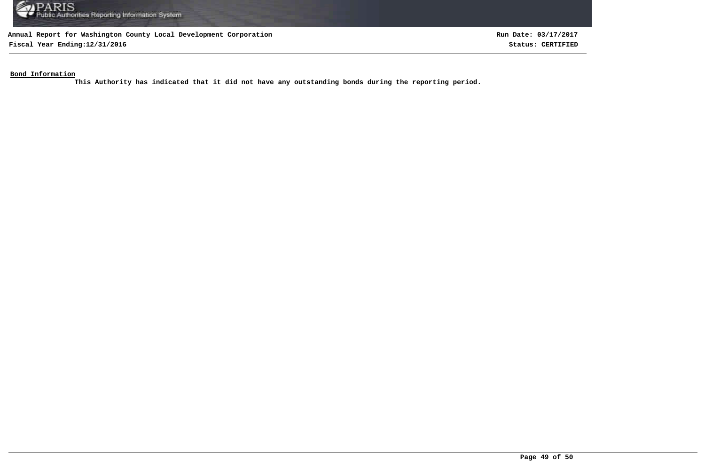

**Fiscal Year Ending:12/31/2016 Status: CERTIFIED**

**Run Date: 03/17/2017**

**Bond Information**

**This Authority has indicated that it did not have any outstanding bonds during the reporting period.**